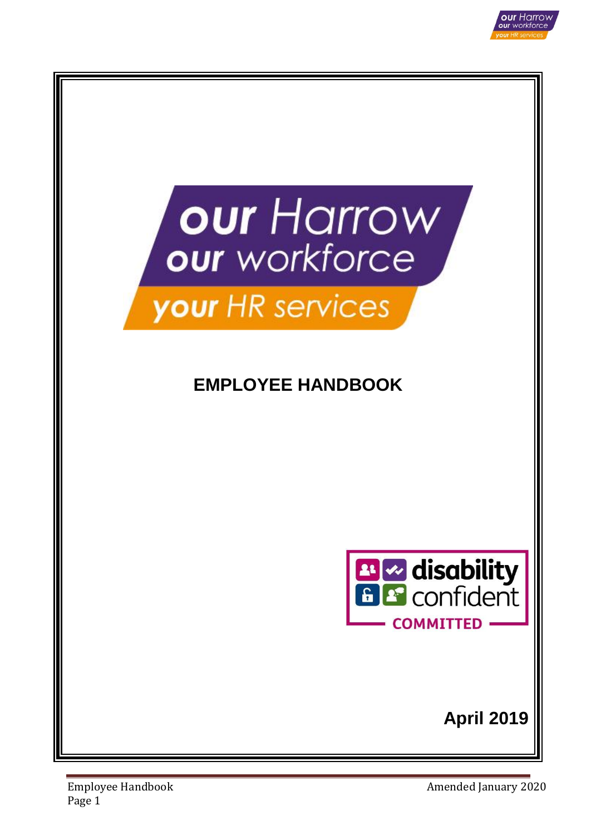



# your HR services

# **EMPLOYEE HANDBOOK**



**April 2019**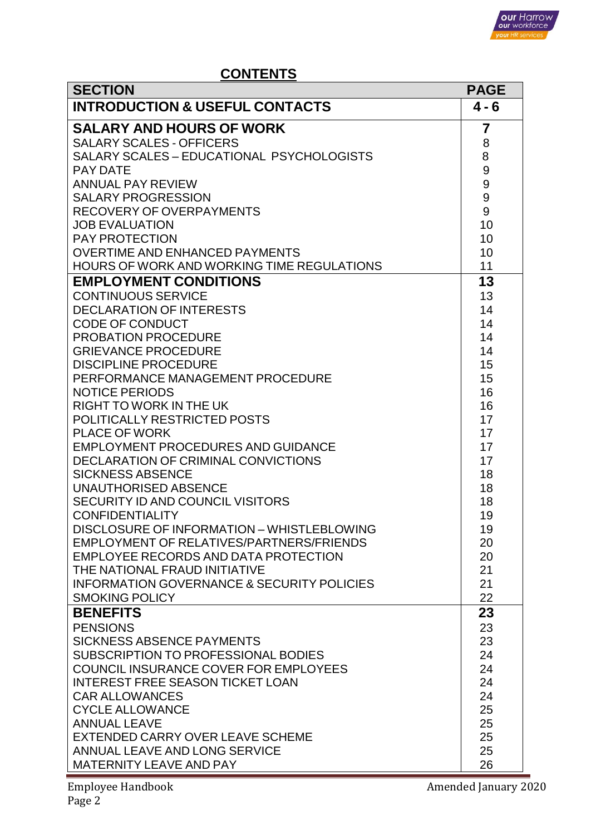

# **CONTENTS**

| <b>INTRODUCTION &amp; USEFUL CONTACTS</b><br>$4 - 6$<br><b>SALARY AND HOURS OF WORK</b><br>$\overline{7}$<br><b>SALARY SCALES - OFFICERS</b><br>8<br>8<br>SALARY SCALES - EDUCATIONAL PSYCHOLOGISTS<br>9<br><b>PAY DATE</b><br>9<br><b>ANNUAL PAY REVIEW</b><br>9<br><b>SALARY PROGRESSION</b><br>9<br>RECOVERY OF OVERPAYMENTS<br>10<br><b>JOB EVALUATION</b><br>10<br><b>PAY PROTECTION</b><br>10<br><b>OVERTIME AND ENHANCED PAYMENTS</b><br><b>HOURS OF WORK AND WORKING TIME REGULATIONS</b><br>11<br>13<br><b>EMPLOYMENT CONDITIONS</b><br><b>CONTINUOUS SERVICE</b><br>13<br>14<br><b>DECLARATION OF INTERESTS</b><br>14<br><b>CODE OF CONDUCT</b><br>14<br><b>PROBATION PROCEDURE</b><br><b>GRIEVANCE PROCEDURE</b><br>14<br>15<br><b>DISCIPLINE PROCEDURE</b><br>15<br>PERFORMANCE MANAGEMENT PROCEDURE<br>16<br><b>NOTICE PERIODS</b><br>16<br><b>RIGHT TO WORK IN THE UK</b><br>17<br>POLITICALLY RESTRICTED POSTS<br>17<br><b>PLACE OF WORK</b><br>17<br><b>EMPLOYMENT PROCEDURES AND GUIDANCE</b><br>DECLARATION OF CRIMINAL CONVICTIONS<br>17<br>18<br><b>SICKNESS ABSENCE</b><br>18<br><b>UNAUTHORISED ABSENCE</b><br>18<br>SECURITY ID AND COUNCIL VISITORS<br><b>CONFIDENTIALITY</b><br>19<br>DISCLOSURE OF INFORMATION - WHISTLEBLOWING<br>19<br>EMPLOYMENT OF RELATIVES/PARTNERS/FRIENDS<br>20<br>EMPLOYEE RECORDS AND DATA PROTECTION<br>20<br>21<br>THE NATIONAL FRAUD INITIATIVE<br><b>INFORMATION GOVERNANCE &amp; SECURITY POLICIES</b><br>21<br>22<br><b>SMOKING POLICY</b><br><b>BENEFITS</b><br>23<br><b>PENSIONS</b><br>23 | <b>SECTION</b> | <b>PAGE</b> |
|--------------------------------------------------------------------------------------------------------------------------------------------------------------------------------------------------------------------------------------------------------------------------------------------------------------------------------------------------------------------------------------------------------------------------------------------------------------------------------------------------------------------------------------------------------------------------------------------------------------------------------------------------------------------------------------------------------------------------------------------------------------------------------------------------------------------------------------------------------------------------------------------------------------------------------------------------------------------------------------------------------------------------------------------------------------------------------------------------------------------------------------------------------------------------------------------------------------------------------------------------------------------------------------------------------------------------------------------------------------------------------------------------------------------------------------------------------------------------------------------------------------------------------------------------------|----------------|-------------|
|                                                                                                                                                                                                                                                                                                                                                                                                                                                                                                                                                                                                                                                                                                                                                                                                                                                                                                                                                                                                                                                                                                                                                                                                                                                                                                                                                                                                                                                                                                                                                        |                |             |
|                                                                                                                                                                                                                                                                                                                                                                                                                                                                                                                                                                                                                                                                                                                                                                                                                                                                                                                                                                                                                                                                                                                                                                                                                                                                                                                                                                                                                                                                                                                                                        |                |             |
|                                                                                                                                                                                                                                                                                                                                                                                                                                                                                                                                                                                                                                                                                                                                                                                                                                                                                                                                                                                                                                                                                                                                                                                                                                                                                                                                                                                                                                                                                                                                                        |                |             |
|                                                                                                                                                                                                                                                                                                                                                                                                                                                                                                                                                                                                                                                                                                                                                                                                                                                                                                                                                                                                                                                                                                                                                                                                                                                                                                                                                                                                                                                                                                                                                        |                |             |
|                                                                                                                                                                                                                                                                                                                                                                                                                                                                                                                                                                                                                                                                                                                                                                                                                                                                                                                                                                                                                                                                                                                                                                                                                                                                                                                                                                                                                                                                                                                                                        |                |             |
|                                                                                                                                                                                                                                                                                                                                                                                                                                                                                                                                                                                                                                                                                                                                                                                                                                                                                                                                                                                                                                                                                                                                                                                                                                                                                                                                                                                                                                                                                                                                                        |                |             |
|                                                                                                                                                                                                                                                                                                                                                                                                                                                                                                                                                                                                                                                                                                                                                                                                                                                                                                                                                                                                                                                                                                                                                                                                                                                                                                                                                                                                                                                                                                                                                        |                |             |
|                                                                                                                                                                                                                                                                                                                                                                                                                                                                                                                                                                                                                                                                                                                                                                                                                                                                                                                                                                                                                                                                                                                                                                                                                                                                                                                                                                                                                                                                                                                                                        |                |             |
|                                                                                                                                                                                                                                                                                                                                                                                                                                                                                                                                                                                                                                                                                                                                                                                                                                                                                                                                                                                                                                                                                                                                                                                                                                                                                                                                                                                                                                                                                                                                                        |                |             |
|                                                                                                                                                                                                                                                                                                                                                                                                                                                                                                                                                                                                                                                                                                                                                                                                                                                                                                                                                                                                                                                                                                                                                                                                                                                                                                                                                                                                                                                                                                                                                        |                |             |
|                                                                                                                                                                                                                                                                                                                                                                                                                                                                                                                                                                                                                                                                                                                                                                                                                                                                                                                                                                                                                                                                                                                                                                                                                                                                                                                                                                                                                                                                                                                                                        |                |             |
|                                                                                                                                                                                                                                                                                                                                                                                                                                                                                                                                                                                                                                                                                                                                                                                                                                                                                                                                                                                                                                                                                                                                                                                                                                                                                                                                                                                                                                                                                                                                                        |                |             |
|                                                                                                                                                                                                                                                                                                                                                                                                                                                                                                                                                                                                                                                                                                                                                                                                                                                                                                                                                                                                                                                                                                                                                                                                                                                                                                                                                                                                                                                                                                                                                        |                |             |
|                                                                                                                                                                                                                                                                                                                                                                                                                                                                                                                                                                                                                                                                                                                                                                                                                                                                                                                                                                                                                                                                                                                                                                                                                                                                                                                                                                                                                                                                                                                                                        |                |             |
|                                                                                                                                                                                                                                                                                                                                                                                                                                                                                                                                                                                                                                                                                                                                                                                                                                                                                                                                                                                                                                                                                                                                                                                                                                                                                                                                                                                                                                                                                                                                                        |                |             |
|                                                                                                                                                                                                                                                                                                                                                                                                                                                                                                                                                                                                                                                                                                                                                                                                                                                                                                                                                                                                                                                                                                                                                                                                                                                                                                                                                                                                                                                                                                                                                        |                |             |
|                                                                                                                                                                                                                                                                                                                                                                                                                                                                                                                                                                                                                                                                                                                                                                                                                                                                                                                                                                                                                                                                                                                                                                                                                                                                                                                                                                                                                                                                                                                                                        |                |             |
|                                                                                                                                                                                                                                                                                                                                                                                                                                                                                                                                                                                                                                                                                                                                                                                                                                                                                                                                                                                                                                                                                                                                                                                                                                                                                                                                                                                                                                                                                                                                                        |                |             |
|                                                                                                                                                                                                                                                                                                                                                                                                                                                                                                                                                                                                                                                                                                                                                                                                                                                                                                                                                                                                                                                                                                                                                                                                                                                                                                                                                                                                                                                                                                                                                        |                |             |
|                                                                                                                                                                                                                                                                                                                                                                                                                                                                                                                                                                                                                                                                                                                                                                                                                                                                                                                                                                                                                                                                                                                                                                                                                                                                                                                                                                                                                                                                                                                                                        |                |             |
|                                                                                                                                                                                                                                                                                                                                                                                                                                                                                                                                                                                                                                                                                                                                                                                                                                                                                                                                                                                                                                                                                                                                                                                                                                                                                                                                                                                                                                                                                                                                                        |                |             |
|                                                                                                                                                                                                                                                                                                                                                                                                                                                                                                                                                                                                                                                                                                                                                                                                                                                                                                                                                                                                                                                                                                                                                                                                                                                                                                                                                                                                                                                                                                                                                        |                |             |
|                                                                                                                                                                                                                                                                                                                                                                                                                                                                                                                                                                                                                                                                                                                                                                                                                                                                                                                                                                                                                                                                                                                                                                                                                                                                                                                                                                                                                                                                                                                                                        |                |             |
|                                                                                                                                                                                                                                                                                                                                                                                                                                                                                                                                                                                                                                                                                                                                                                                                                                                                                                                                                                                                                                                                                                                                                                                                                                                                                                                                                                                                                                                                                                                                                        |                |             |
|                                                                                                                                                                                                                                                                                                                                                                                                                                                                                                                                                                                                                                                                                                                                                                                                                                                                                                                                                                                                                                                                                                                                                                                                                                                                                                                                                                                                                                                                                                                                                        |                |             |
|                                                                                                                                                                                                                                                                                                                                                                                                                                                                                                                                                                                                                                                                                                                                                                                                                                                                                                                                                                                                                                                                                                                                                                                                                                                                                                                                                                                                                                                                                                                                                        |                |             |
|                                                                                                                                                                                                                                                                                                                                                                                                                                                                                                                                                                                                                                                                                                                                                                                                                                                                                                                                                                                                                                                                                                                                                                                                                                                                                                                                                                                                                                                                                                                                                        |                |             |
|                                                                                                                                                                                                                                                                                                                                                                                                                                                                                                                                                                                                                                                                                                                                                                                                                                                                                                                                                                                                                                                                                                                                                                                                                                                                                                                                                                                                                                                                                                                                                        |                |             |
|                                                                                                                                                                                                                                                                                                                                                                                                                                                                                                                                                                                                                                                                                                                                                                                                                                                                                                                                                                                                                                                                                                                                                                                                                                                                                                                                                                                                                                                                                                                                                        |                |             |
|                                                                                                                                                                                                                                                                                                                                                                                                                                                                                                                                                                                                                                                                                                                                                                                                                                                                                                                                                                                                                                                                                                                                                                                                                                                                                                                                                                                                                                                                                                                                                        |                |             |
|                                                                                                                                                                                                                                                                                                                                                                                                                                                                                                                                                                                                                                                                                                                                                                                                                                                                                                                                                                                                                                                                                                                                                                                                                                                                                                                                                                                                                                                                                                                                                        |                |             |
|                                                                                                                                                                                                                                                                                                                                                                                                                                                                                                                                                                                                                                                                                                                                                                                                                                                                                                                                                                                                                                                                                                                                                                                                                                                                                                                                                                                                                                                                                                                                                        |                |             |
|                                                                                                                                                                                                                                                                                                                                                                                                                                                                                                                                                                                                                                                                                                                                                                                                                                                                                                                                                                                                                                                                                                                                                                                                                                                                                                                                                                                                                                                                                                                                                        |                |             |
|                                                                                                                                                                                                                                                                                                                                                                                                                                                                                                                                                                                                                                                                                                                                                                                                                                                                                                                                                                                                                                                                                                                                                                                                                                                                                                                                                                                                                                                                                                                                                        |                |             |
|                                                                                                                                                                                                                                                                                                                                                                                                                                                                                                                                                                                                                                                                                                                                                                                                                                                                                                                                                                                                                                                                                                                                                                                                                                                                                                                                                                                                                                                                                                                                                        |                |             |
|                                                                                                                                                                                                                                                                                                                                                                                                                                                                                                                                                                                                                                                                                                                                                                                                                                                                                                                                                                                                                                                                                                                                                                                                                                                                                                                                                                                                                                                                                                                                                        |                |             |
|                                                                                                                                                                                                                                                                                                                                                                                                                                                                                                                                                                                                                                                                                                                                                                                                                                                                                                                                                                                                                                                                                                                                                                                                                                                                                                                                                                                                                                                                                                                                                        |                |             |
|                                                                                                                                                                                                                                                                                                                                                                                                                                                                                                                                                                                                                                                                                                                                                                                                                                                                                                                                                                                                                                                                                                                                                                                                                                                                                                                                                                                                                                                                                                                                                        |                |             |
| 23<br><b>SICKNESS ABSENCE PAYMENTS</b>                                                                                                                                                                                                                                                                                                                                                                                                                                                                                                                                                                                                                                                                                                                                                                                                                                                                                                                                                                                                                                                                                                                                                                                                                                                                                                                                                                                                                                                                                                                 |                |             |
| 24<br>SUBSCRIPTION TO PROFESSIONAL BODIES                                                                                                                                                                                                                                                                                                                                                                                                                                                                                                                                                                                                                                                                                                                                                                                                                                                                                                                                                                                                                                                                                                                                                                                                                                                                                                                                                                                                                                                                                                              |                |             |
| COUNCIL INSURANCE COVER FOR EMPLOYEES<br>24                                                                                                                                                                                                                                                                                                                                                                                                                                                                                                                                                                                                                                                                                                                                                                                                                                                                                                                                                                                                                                                                                                                                                                                                                                                                                                                                                                                                                                                                                                            |                |             |
| <b>INTEREST FREE SEASON TICKET LOAN</b><br>24                                                                                                                                                                                                                                                                                                                                                                                                                                                                                                                                                                                                                                                                                                                                                                                                                                                                                                                                                                                                                                                                                                                                                                                                                                                                                                                                                                                                                                                                                                          |                |             |
| 24<br><b>CAR ALLOWANCES</b>                                                                                                                                                                                                                                                                                                                                                                                                                                                                                                                                                                                                                                                                                                                                                                                                                                                                                                                                                                                                                                                                                                                                                                                                                                                                                                                                                                                                                                                                                                                            |                |             |
| <b>CYCLE ALLOWANCE</b><br>25                                                                                                                                                                                                                                                                                                                                                                                                                                                                                                                                                                                                                                                                                                                                                                                                                                                                                                                                                                                                                                                                                                                                                                                                                                                                                                                                                                                                                                                                                                                           |                |             |
| 25<br><b>ANNUAL LEAVE</b>                                                                                                                                                                                                                                                                                                                                                                                                                                                                                                                                                                                                                                                                                                                                                                                                                                                                                                                                                                                                                                                                                                                                                                                                                                                                                                                                                                                                                                                                                                                              |                |             |
| 25<br>EXTENDED CARRY OVER LEAVE SCHEME                                                                                                                                                                                                                                                                                                                                                                                                                                                                                                                                                                                                                                                                                                                                                                                                                                                                                                                                                                                                                                                                                                                                                                                                                                                                                                                                                                                                                                                                                                                 |                |             |
| ANNUAL LEAVE AND LONG SERVICE<br>25                                                                                                                                                                                                                                                                                                                                                                                                                                                                                                                                                                                                                                                                                                                                                                                                                                                                                                                                                                                                                                                                                                                                                                                                                                                                                                                                                                                                                                                                                                                    |                |             |
| 26<br><b>MATERNITY LEAVE AND PAY</b>                                                                                                                                                                                                                                                                                                                                                                                                                                                                                                                                                                                                                                                                                                                                                                                                                                                                                                                                                                                                                                                                                                                                                                                                                                                                                                                                                                                                                                                                                                                   |                |             |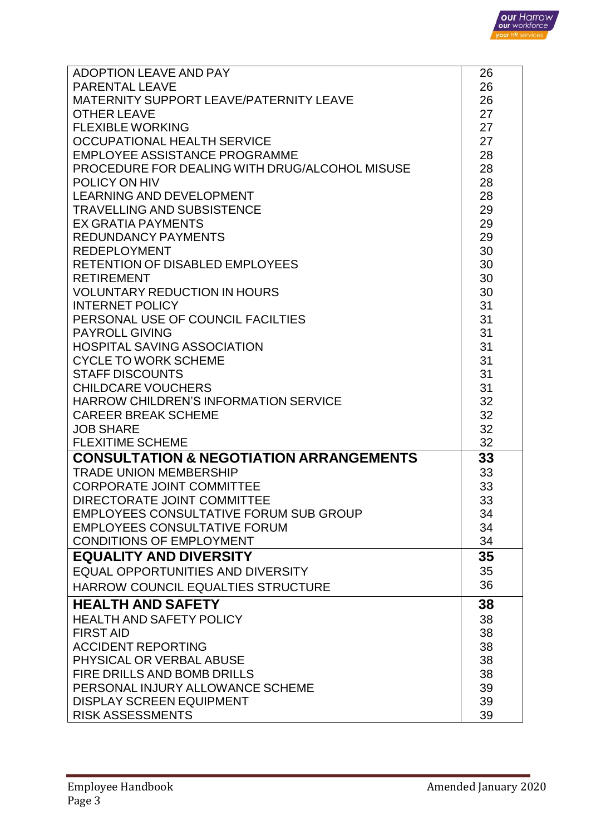

| ADOPTION LEAVE AND PAY                                     | 26       |
|------------------------------------------------------------|----------|
| <b>PARENTAL LEAVE</b>                                      | 26       |
| MATERNITY SUPPORT LEAVE/PATERNITY LEAVE                    | 26       |
| <b>OTHER LEAVE</b>                                         | 27       |
| <b>FLEXIBLE WORKING</b>                                    | 27       |
| <b>OCCUPATIONAL HEALTH SERVICE</b>                         | 27       |
| <b>EMPLOYEE ASSISTANCE PROGRAMME</b>                       | 28       |
| PROCEDURE FOR DEALING WITH DRUG/ALCOHOL MISUSE             | 28       |
| POLICY ON HIV                                              | 28       |
| <b>LEARNING AND DEVELOPMENT</b>                            | 28       |
| <b>TRAVELLING AND SUBSISTENCE</b>                          | 29       |
| <b>EX GRATIA PAYMENTS</b>                                  | 29       |
| <b>REDUNDANCY PAYMENTS</b>                                 | 29       |
| <b>REDEPLOYMENT</b>                                        | 30       |
| <b>RETENTION OF DISABLED EMPLOYEES</b>                     | 30       |
| <b>RETIREMENT</b>                                          | 30       |
| <b>VOLUNTARY REDUCTION IN HOURS</b>                        | 30       |
| <b>INTERNET POLICY</b>                                     | 31       |
| PERSONAL USE OF COUNCIL FACILTIES                          | 31       |
| <b>PAYROLL GIVING</b>                                      | 31       |
| <b>HOSPITAL SAVING ASSOCIATION</b>                         | 31       |
| <b>CYCLE TO WORK SCHEME</b>                                | 31       |
|                                                            |          |
| <b>STAFF DISCOUNTS</b>                                     | 31       |
| <b>CHILDCARE VOUCHERS</b>                                  | 31       |
| <b>HARROW CHILDREN'S INFORMATION SERVICE</b>               | 32       |
| <b>CAREER BREAK SCHEME</b>                                 | 32       |
| <b>JOB SHARE</b>                                           | 32       |
| <b>FLEXITIME SCHEME</b>                                    | 32       |
| <b>CONSULTATION &amp; NEGOTIATION ARRANGEMENTS</b>         | 33       |
|                                                            |          |
| <b>TRADE UNION MEMBERSHIP</b>                              | 33       |
| <b>CORPORATE JOINT COMMITTEE</b>                           | 33       |
| DIRECTORATE JOINT COMMITTEE                                | 33       |
| <b>EMPLOYEES CONSULTATIVE FORUM SUB GROUP</b>              | 34       |
| <b>EMPLOYEES CONSULTATIVE FORUM</b>                        | 34       |
| <b>CONDITIONS OF EMPLOYMENT</b>                            | 34       |
| <b>EQUALITY AND DIVERSITY</b>                              | 35       |
| <b>EQUAL OPPORTUNITIES AND DIVERSITY</b>                   | 35       |
| HARROW COUNCIL EQUALTIES STRUCTURE                         | 36       |
|                                                            |          |
| <b>HEALTH AND SAFETY</b>                                   | 38       |
| <b>HEALTH AND SAFETY POLICY</b>                            | 38       |
| <b>FIRST AID</b>                                           | 38       |
| <b>ACCIDENT REPORTING</b>                                  | 38       |
| PHYSICAL OR VERBAL ABUSE                                   | 38       |
| FIRE DRILLS AND BOMB DRILLS                                | 38       |
| PERSONAL INJURY ALLOWANCE SCHEME                           | 39       |
| <b>DISPLAY SCREEN EQUIPMENT</b><br><b>RISK ASSESSMENTS</b> | 39<br>39 |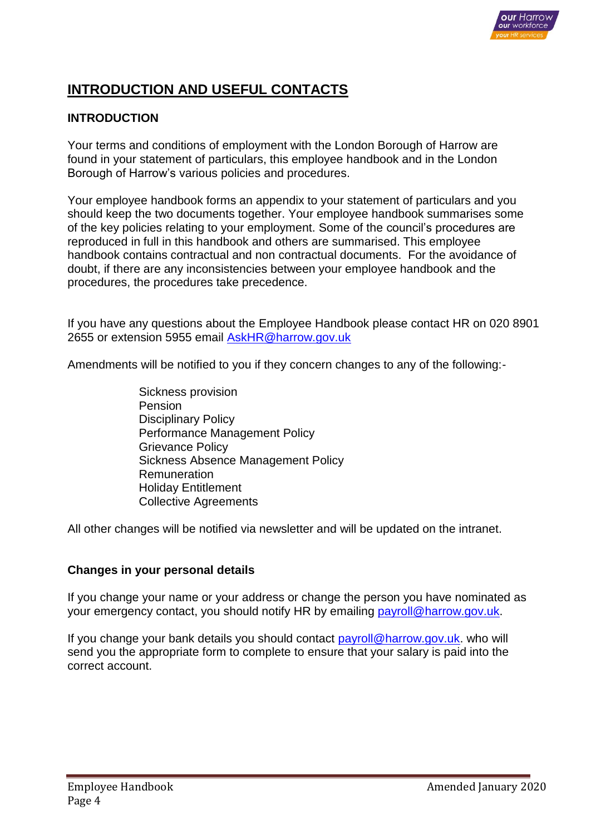

# **INTRODUCTION AND USEFUL CONTACTS**

## **INTRODUCTION**

Your terms and conditions of employment with the London Borough of Harrow are found in your statement of particulars, this employee handbook and in the London Borough of Harrow's various policies and procedures.

Your employee handbook forms an appendix to your statement of particulars and you should keep the two documents together. Your employee handbook summarises some of the key policies relating to your employment. Some of the council's procedures are reproduced in full in this handbook and others are summarised. This employee handbook contains contractual and non contractual documents. For the avoidance of doubt, if there are any inconsistencies between your employee handbook and the procedures, the procedures take precedence.

If you have any questions about the Employee Handbook please contact HR on 020 8901 2655 or extension 5955 email [AskHR@harrow.gov.uk](mailto:AskHR@harrow.gov.uk)

Amendments will be notified to you if they concern changes to any of the following:-

Sickness provision Pension Disciplinary Policy Performance Management Policy Grievance Policy Sickness Absence Management Policy Remuneration Holiday Entitlement Collective Agreements

All other changes will be notified via newsletter and will be updated on the intranet.

#### **Changes in your personal details**

If you change your name or your address or change the person you have nominated as your emergency contact, you should notify HR by emailing [payroll@harrow.gov.uk.](mailto:payroll@harrow.gov.uk)

If you change your bank details you should contact [payroll@harrow.gov.uk.](mailto:payroll@harrow.gov.uk) who will send you the appropriate form to complete to ensure that your salary is paid into the correct account.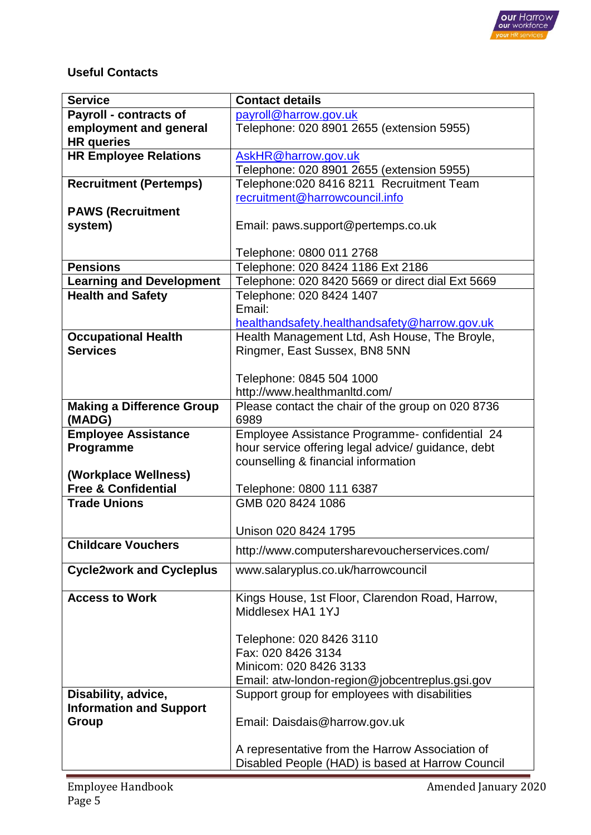

# **Useful Contacts**

| <b>Service</b>                   | <b>Contact details</b>                             |
|----------------------------------|----------------------------------------------------|
| <b>Payroll - contracts of</b>    | payroll@harrow.gov.uk                              |
| employment and general           | Telephone: 020 8901 2655 (extension 5955)          |
| <b>HR</b> queries                |                                                    |
| <b>HR Employee Relations</b>     | AskHR@harrow.gov.uk                                |
|                                  | Telephone: 020 8901 2655 (extension 5955)          |
| <b>Recruitment (Pertemps)</b>    | Telephone: 020 8416 8211 Recruitment Team          |
|                                  | recruitment@harrowcouncil.info                     |
| <b>PAWS (Recruitment</b>         |                                                    |
| system)                          | Email: paws.support@pertemps.co.uk                 |
|                                  |                                                    |
|                                  | Telephone: 0800 011 2768                           |
| <b>Pensions</b>                  | Telephone: 020 8424 1186 Ext 2186                  |
| <b>Learning and Development</b>  | Telephone: 020 8420 5669 or direct dial Ext 5669   |
| <b>Health and Safety</b>         | Telephone: 020 8424 1407                           |
|                                  | Email:                                             |
|                                  | healthandsafety.healthandsafety@harrow.gov.uk      |
| <b>Occupational Health</b>       | Health Management Ltd, Ash House, The Broyle,      |
| <b>Services</b>                  | Ringmer, East Sussex, BN8 5NN                      |
|                                  |                                                    |
|                                  | Telephone: 0845 504 1000                           |
|                                  | http://www.healthmanltd.com/                       |
| <b>Making a Difference Group</b> | Please contact the chair of the group on 020 8736  |
| (MADG)                           | 6989                                               |
| <b>Employee Assistance</b>       | Employee Assistance Programme- confidential 24     |
| Programme                        | hour service offering legal advice/ guidance, debt |
|                                  | counselling & financial information                |
| (Workplace Wellness)             |                                                    |
| <b>Free &amp; Confidential</b>   | Telephone: 0800 111 6387                           |
| <b>Trade Unions</b>              | GMB 020 8424 1086                                  |
|                                  |                                                    |
| <b>Childcare Vouchers</b>        | Unison 020 8424 1795                               |
|                                  | http://www.computersharevoucherservices.com/       |
| <b>Cycle2work and Cycleplus</b>  | www.salaryplus.co.uk/harrowcouncil                 |
|                                  |                                                    |
| <b>Access to Work</b>            | Kings House, 1st Floor, Clarendon Road, Harrow,    |
|                                  | Middlesex HA1 1YJ                                  |
|                                  |                                                    |
|                                  | Telephone: 020 8426 3110                           |
|                                  | Fax: 020 8426 3134                                 |
|                                  | Minicom: 020 8426 3133                             |
|                                  | Email: atw-london-region@jobcentreplus.gsi.gov     |
| Disability, advice,              | Support group for employees with disabilities      |
| <b>Information and Support</b>   |                                                    |
| Group                            | Email: Daisdais@harrow.gov.uk                      |
|                                  |                                                    |
|                                  | A representative from the Harrow Association of    |
|                                  | Disabled People (HAD) is based at Harrow Council   |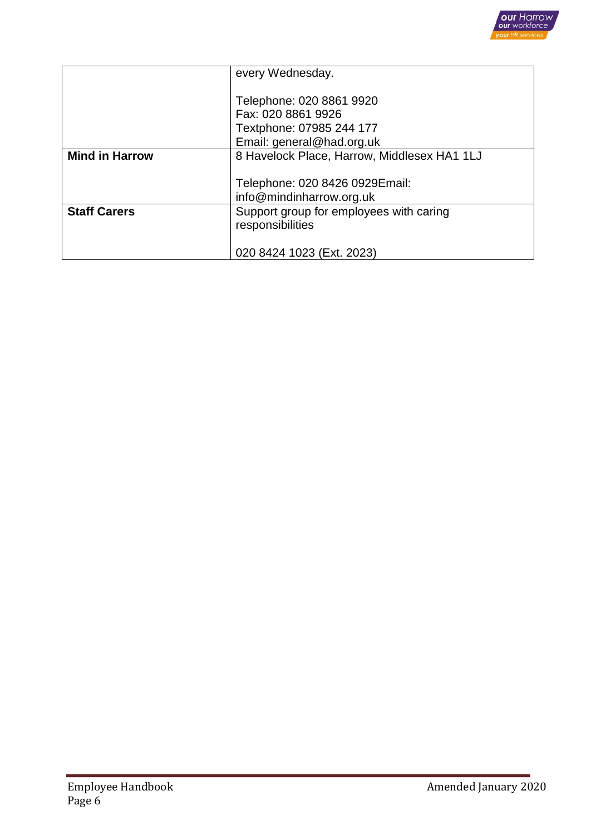

|                       | every Wednesday.                                                                                        |
|-----------------------|---------------------------------------------------------------------------------------------------------|
|                       | Telephone: 020 8861 9920<br>Fax: 020 8861 9926<br>Textphone: 07985 244 177<br>Email: general@had.org.uk |
| <b>Mind in Harrow</b> | 8 Havelock Place, Harrow, Middlesex HA1 1LJ                                                             |
|                       | Telephone: 020 8426 0929 Email:<br>info@mindinharrow.org.uk                                             |
| <b>Staff Carers</b>   | Support group for employees with caring<br>responsibilities                                             |
|                       | 020 8424 1023 (Ext. 2023)                                                                               |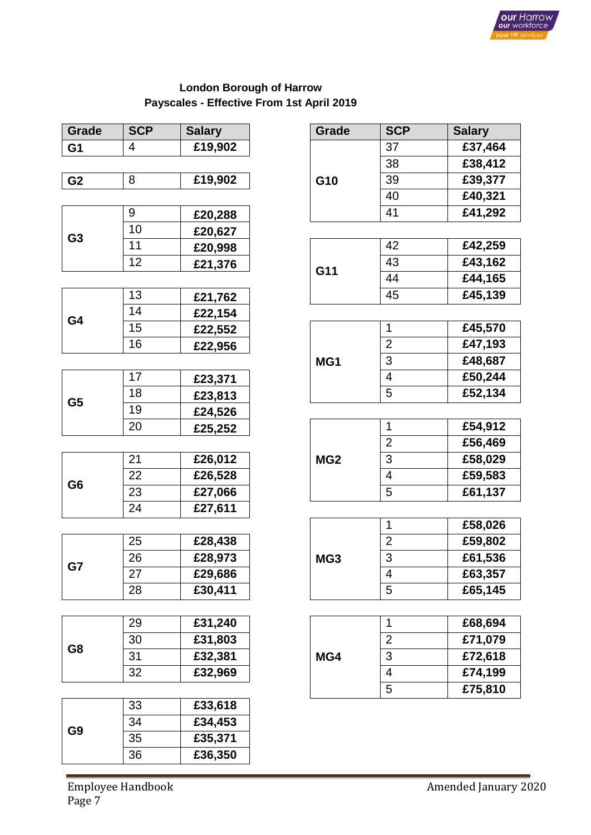

# **London Borough of Harrow Payscales - Effective From 1st April 2019**

| <b>Grade</b>   | <b>SCP</b>               | <b>Salary</b>        | Grade           | <b>SCP</b>              | <b>Salary</b> |
|----------------|--------------------------|----------------------|-----------------|-------------------------|---------------|
| G <sub>1</sub> | $\overline{\mathcal{A}}$ | £19,902              |                 | 37                      | £37,464       |
|                |                          |                      |                 | 38                      | £38,412       |
| G <sub>2</sub> | 8                        | £19,902              | G10             | 39                      | £39,377       |
|                |                          |                      |                 | 40                      | £40,321       |
|                | $9\,$                    | £20,288              |                 | 41                      | £41,292       |
|                | 10                       | £20,627              |                 |                         |               |
| G <sub>3</sub> | 11                       | £20,998              |                 | 42                      | £42,259       |
|                | 12                       | £21,376              | G11             | 43                      | £43,162       |
|                |                          |                      |                 | 44                      | £44,165       |
|                | 13                       | £21,762              |                 | 45                      | £45,139       |
| G4             | 14                       | £22,154              |                 |                         |               |
|                | 15                       | £22,552              |                 | 1                       | £45,570       |
|                | 16                       | £22,956              |                 | $\overline{2}$          | £47,193       |
|                |                          |                      | MG1             | 3                       | £48,687       |
|                | 17                       | £23,371              |                 | $\overline{4}$          | £50,244       |
| G <sub>5</sub> | 18                       | £23,813              |                 | 5                       | £52,134       |
|                | 19                       | £24,526              |                 |                         |               |
|                | 20                       | £25,252              |                 | 1                       | £54,912       |
|                |                          |                      |                 | $\overline{2}$          | £56,469       |
|                | 21                       | £26,012              | MG <sub>2</sub> | 3                       | £58,029       |
| G <sub>6</sub> | 22                       | £26,528              |                 | $\overline{4}$          | £59,583       |
|                | 23                       | £27,066              |                 | 5                       | £61,137       |
|                | 24                       | £27,611              |                 |                         |               |
|                |                          |                      |                 | 1                       | £58,026       |
|                | 25                       | £28,438              |                 | $\overline{2}$          | £59,802       |
| G7             | 26                       | £28,973              | MG3             | 3                       | £61,536       |
|                | 27                       | £29,686              |                 | $\overline{\mathbf{4}}$ | £63,357       |
| 28             |                          | £30,411              |                 | 5                       | £65,145       |
|                |                          |                      |                 |                         |               |
|                | 29                       | £31,240              |                 | 1                       | £68,694       |
| G8             | 30                       | £31,803              | MG4             | $\overline{2}$          | £71,079       |
|                | 31                       | £32,381              |                 | $\mathfrak{B}$          | £72,618       |
|                | 32                       | £32,969              |                 | 4                       | £74,199       |
|                |                          |                      |                 | 5                       | £75,810       |
|                | 33                       | £33,618              |                 |                         |               |
| G <sub>9</sub> | 34                       | $\overline{£}34,453$ |                 |                         |               |
|                | 35                       | £35,371              |                 |                         |               |
|                | 36                       | £36,350              |                 |                         |               |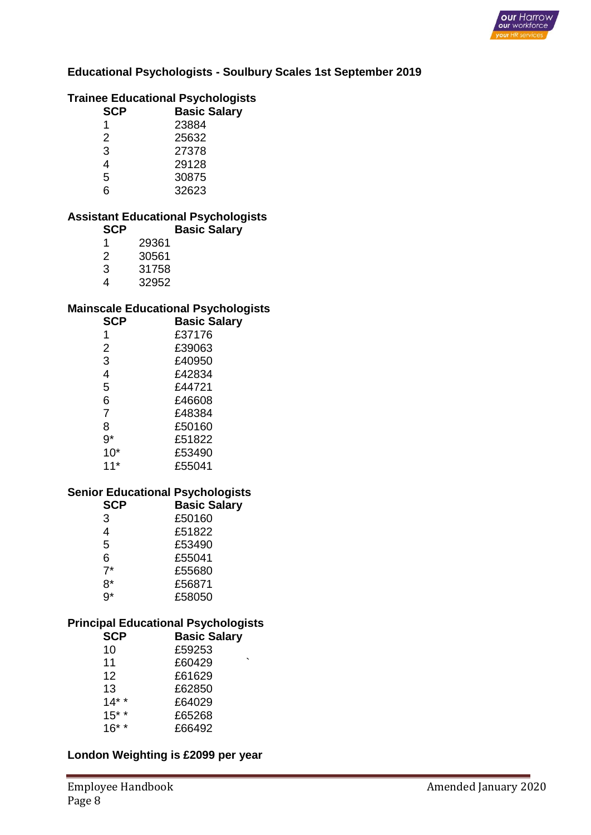

#### **Educational Psychologists - Soulbury Scales 1st September 2019**

#### **Trainee Educational Psychologists**

| <b>SCP</b> | <b>Basic Salary</b> |
|------------|---------------------|
| 1          | 23884               |
| 2          | 25632               |
| 3          | 27378               |
| 4          | 29128               |
| 5          | 30875               |
| 6          | 32623               |

#### **Assistant Educational Psychologists Basic Salary**

| SCP |       |
|-----|-------|
| 1   | 29361 |
| 2   | 30561 |
| З   | 31758 |
|     |       |

4 32952

#### **Mainscale Educational Psychologists**

| <b>SCP</b> | <b>Basic Salary</b> |
|------------|---------------------|
| 1          | £37176              |
| 2          | £39063              |
| 3          | £40950              |
| 4          | £42834              |
| 5          | £44721              |
| 6          | £46608              |
| 7          | £48384              |
| 8          | £50160              |
| 9*         | £51822              |
| $10*$      | £53490              |
| $11*$      | £55041              |

#### **Senior Educational Psychologists**

| <b>Basic Salary</b> |
|---------------------|
| £50160              |
| £51822              |
| £53490              |
| £55041              |
| £55680              |
| £56871              |
| £58050              |
|                     |

#### **Principal Educational Psychologists**

| <b>SCP</b> | <b>Basic Salary</b> |
|------------|---------------------|
| 10         | £59253              |
| 11         | £60429              |
| 12         | £61629              |
| 13         | £62850              |
| $14*$      | £64029              |
| $15***$    | £65268              |
| $16* *$    | £66492              |

#### **London Weighting is £2099 per year**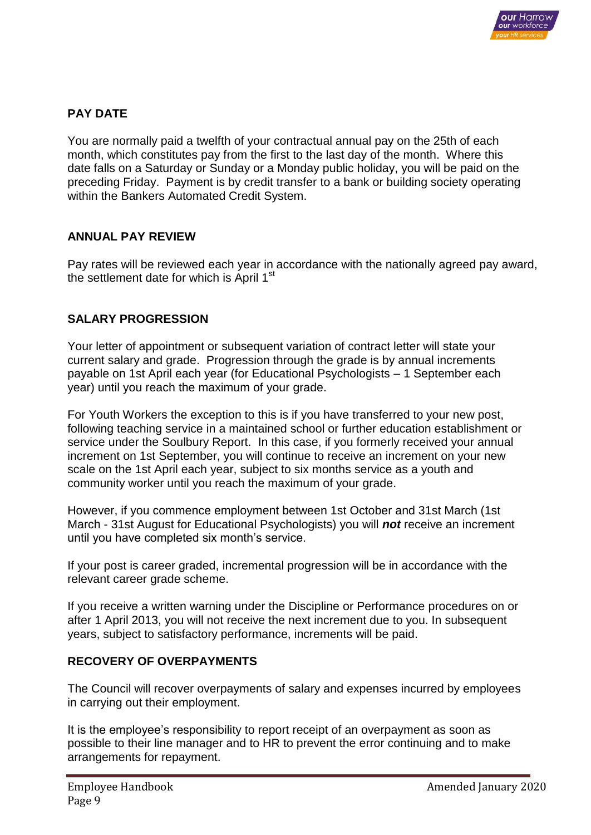

# **PAY DATE**

You are normally paid a twelfth of your contractual annual pay on the 25th of each month, which constitutes pay from the first to the last day of the month. Where this date falls on a Saturday or Sunday or a Monday public holiday, you will be paid on the preceding Friday. Payment is by credit transfer to a bank or building society operating within the Bankers Automated Credit System.

# **ANNUAL PAY REVIEW**

Pay rates will be reviewed each year in accordance with the nationally agreed pay award, the settlement date for which is April 1<sup>st</sup>

### **SALARY PROGRESSION**

Your letter of appointment or subsequent variation of contract letter will state your current salary and grade. Progression through the grade is by annual increments payable on 1st April each year (for Educational Psychologists – 1 September each year) until you reach the maximum of your grade.

For Youth Workers the exception to this is if you have transferred to your new post, following teaching service in a maintained school or further education establishment or service under the Soulbury Report. In this case, if you formerly received your annual increment on 1st September, you will continue to receive an increment on your new scale on the 1st April each year, subject to six months service as a youth and community worker until you reach the maximum of your grade.

However, if you commence employment between 1st October and 31st March (1st March - 31st August for Educational Psychologists) you will *not* receive an increment until you have completed six month's service.

If your post is career graded, incremental progression will be in accordance with the relevant career grade scheme.

If you receive a written warning under the Discipline or Performance procedures on or after 1 April 2013, you will not receive the next increment due to you. In subsequent years, subject to satisfactory performance, increments will be paid.

## **RECOVERY OF OVERPAYMENTS**

The Council will recover overpayments of salary and expenses incurred by employees in carrying out their employment.

It is the employee's responsibility to report receipt of an overpayment as soon as possible to their line manager and to HR to prevent the error continuing and to make arrangements for repayment.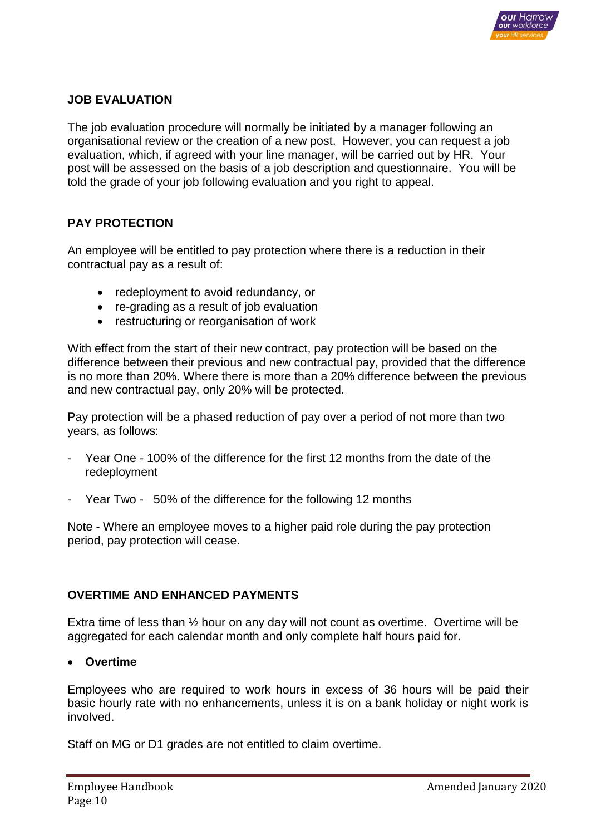

## **JOB EVALUATION**

The job evaluation procedure will normally be initiated by a manager following an organisational review or the creation of a new post. However, you can request a job evaluation, which, if agreed with your line manager, will be carried out by HR. Your post will be assessed on the basis of a job description and questionnaire. You will be told the grade of your job following evaluation and you right to appeal.

### **PAY PROTECTION**

An employee will be entitled to pay protection where there is a reduction in their contractual pay as a result of:

- redeployment to avoid redundancy, or
- re-grading as a result of job evaluation
- restructuring or reorganisation of work

With effect from the start of their new contract, pay protection will be based on the difference between their previous and new contractual pay, provided that the difference is no more than 20%. Where there is more than a 20% difference between the previous and new contractual pay, only 20% will be protected.

Pay protection will be a phased reduction of pay over a period of not more than two years, as follows:

- Year One 100% of the difference for the first 12 months from the date of the redeployment
- Year Two 50% of the difference for the following 12 months

Note - Where an employee moves to a higher paid role during the pay protection period, pay protection will cease.

#### **OVERTIME AND ENHANCED PAYMENTS**

Extra time of less than  $\frac{1}{2}$  hour on any day will not count as overtime. Overtime will be aggregated for each calendar month and only complete half hours paid for.

#### **Overtime**

Employees who are required to work hours in excess of 36 hours will be paid their basic hourly rate with no enhancements, unless it is on a bank holiday or night work is involved.

Staff on MG or D1 grades are not entitled to claim overtime.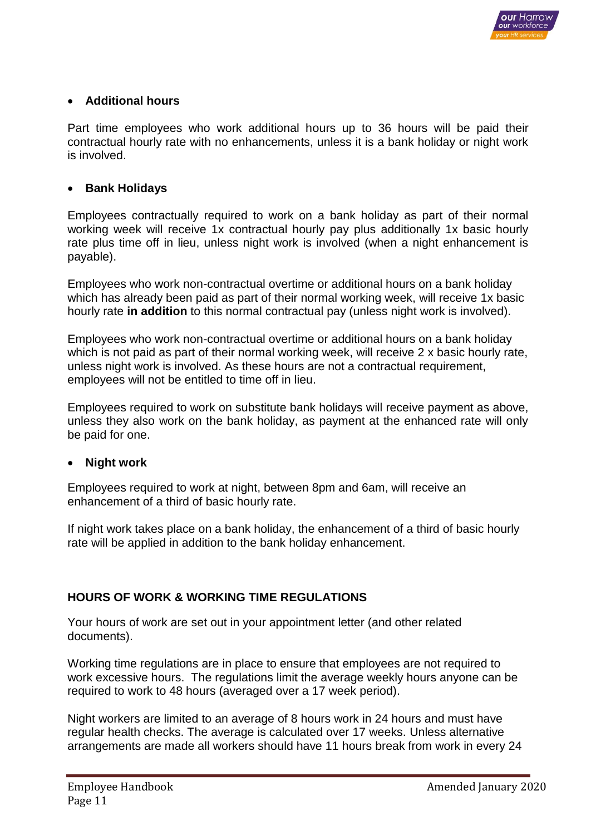

### **Additional hours**

Part time employees who work additional hours up to 36 hours will be paid their contractual hourly rate with no enhancements, unless it is a bank holiday or night work is involved.

#### **•** Bank Holidays

Employees contractually required to work on a bank holiday as part of their normal working week will receive 1x contractual hourly pay plus additionally 1x basic hourly rate plus time off in lieu, unless night work is involved (when a night enhancement is payable).

Employees who work non-contractual overtime or additional hours on a bank holiday which has already been paid as part of their normal working week, will receive 1x basic hourly rate **in addition** to this normal contractual pay (unless night work is involved).

Employees who work non-contractual overtime or additional hours on a bank holiday which is not paid as part of their normal working week, will receive 2 x basic hourly rate, unless night work is involved. As these hours are not a contractual requirement, employees will not be entitled to time off in lieu.

Employees required to work on substitute bank holidays will receive payment as above, unless they also work on the bank holiday, as payment at the enhanced rate will only be paid for one.

#### **Night work**

Employees required to work at night, between 8pm and 6am, will receive an enhancement of a third of basic hourly rate.

If night work takes place on a bank holiday, the enhancement of a third of basic hourly rate will be applied in addition to the bank holiday enhancement.

### **HOURS OF WORK & WORKING TIME REGULATIONS**

Your hours of work are set out in your appointment letter (and other related documents).

Working time regulations are in place to ensure that employees are not required to work excessive hours. The regulations limit the average weekly hours anyone can be required to work to 48 hours (averaged over a 17 week period).

Night workers are limited to an average of 8 hours work in 24 hours and must have regular health checks. The average is calculated over 17 weeks. Unless alternative arrangements are made all workers should have 11 hours break from work in every 24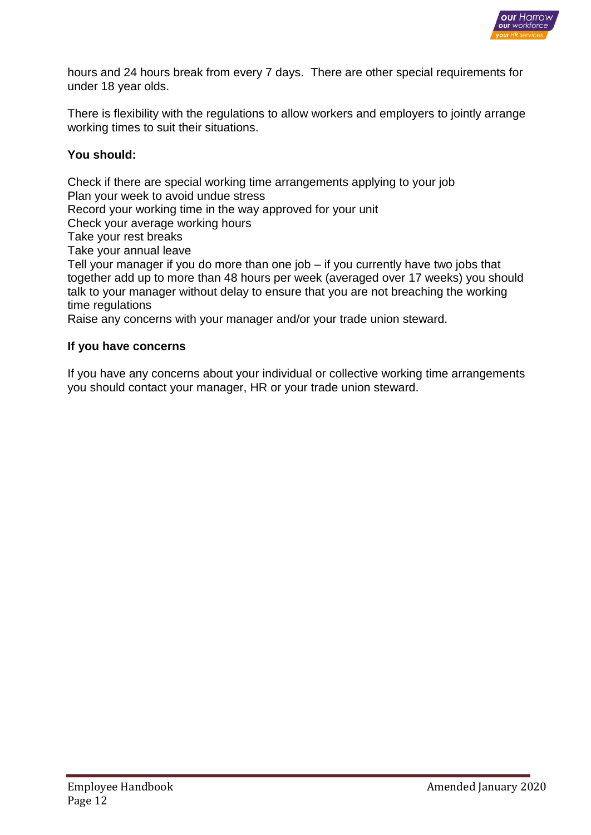

hours and 24 hours break from every 7 days. There are other special requirements for under 18 year olds.

There is flexibility with the regulations to allow workers and employers to jointly arrange working times to suit their situations.

### **You should:**

Check if there are special working time arrangements applying to your job Plan your week to avoid undue stress Record your working time in the way approved for your unit Check your average working hours Take your rest breaks Take your annual leave Tell your manager if you do more than one job – if you currently have two jobs that together add up to more than 48 hours per week (averaged over 17 weeks) you should talk to your manager without delay to ensure that you are not breaching the working time regulations

Raise any concerns with your manager and/or your trade union steward.

#### **If you have concerns**

If you have any concerns about your individual or collective working time arrangements you should contact your manager, HR or your trade union steward.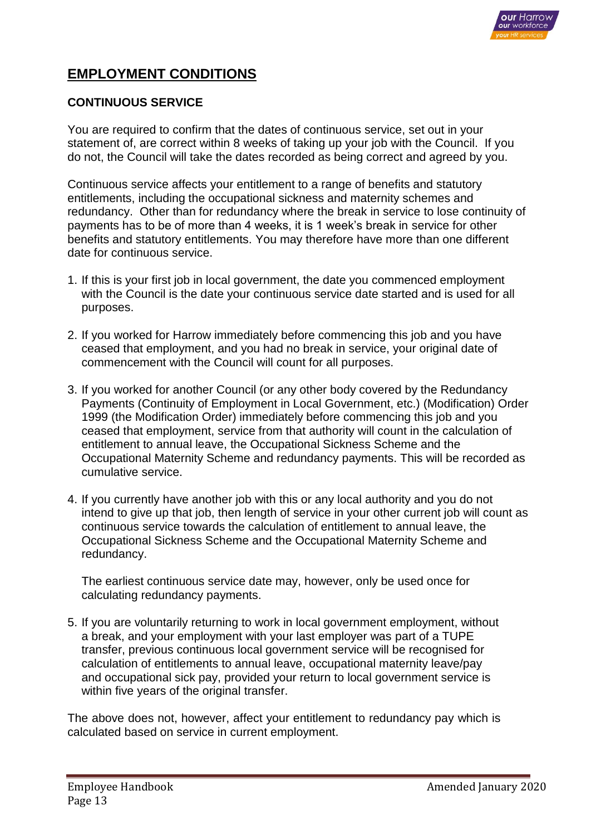

# **EMPLOYMENT CONDITIONS**

#### **CONTINUOUS SERVICE**

You are required to confirm that the dates of continuous service, set out in your statement of, are correct within 8 weeks of taking up your job with the Council. If you do not, the Council will take the dates recorded as being correct and agreed by you.

Continuous service affects your entitlement to a range of benefits and statutory entitlements, including the occupational sickness and maternity schemes and redundancy. Other than for redundancy where the break in service to lose continuity of payments has to be of more than 4 weeks, it is 1 week's break in service for other benefits and statutory entitlements. You may therefore have more than one different date for continuous service.

- 1. If this is your first job in local government, the date you commenced employment with the Council is the date your continuous service date started and is used for all purposes.
- 2. If you worked for Harrow immediately before commencing this job and you have ceased that employment, and you had no break in service, your original date of commencement with the Council will count for all purposes.
- 3. If you worked for another Council (or any other body covered by the Redundancy Payments (Continuity of Employment in Local Government, etc.) (Modification) Order 1999 (the Modification Order) immediately before commencing this job and you ceased that employment, service from that authority will count in the calculation of entitlement to annual leave, the Occupational Sickness Scheme and the Occupational Maternity Scheme and redundancy payments. This will be recorded as cumulative service.
- 4. If you currently have another job with this or any local authority and you do not intend to give up that job, then length of service in your other current job will count as continuous service towards the calculation of entitlement to annual leave, the Occupational Sickness Scheme and the Occupational Maternity Scheme and redundancy.

The earliest continuous service date may, however, only be used once for calculating redundancy payments.

5. If you are voluntarily returning to work in local government employment, without a break, and your employment with your last employer was part of a TUPE transfer, previous continuous local government service will be recognised for calculation of entitlements to annual leave, occupational maternity leave/pay and occupational sick pay, provided your return to local government service is within five years of the original transfer.

The above does not, however, affect your entitlement to redundancy pay which is calculated based on service in current employment.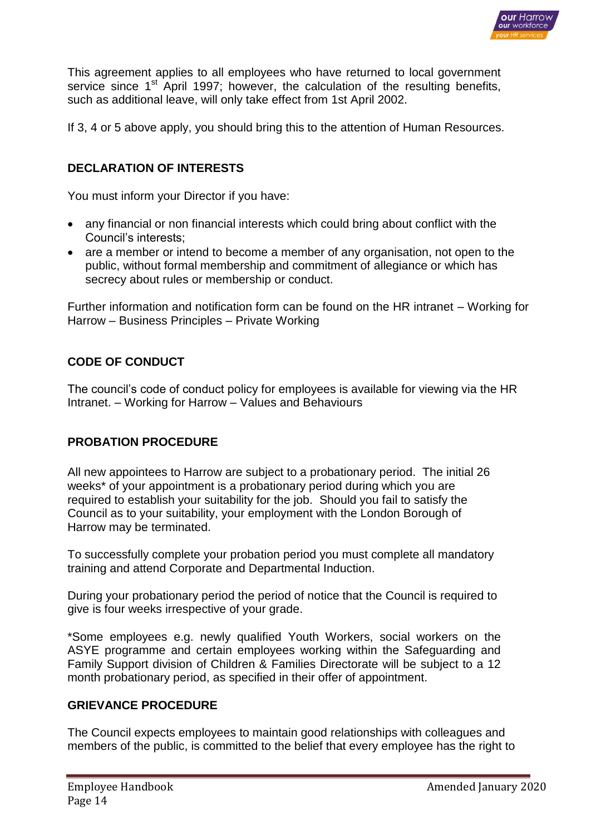

This agreement applies to all employees who have returned to local government service since 1<sup>st</sup> April 1997; however, the calculation of the resulting benefits, such as additional leave, will only take effect from 1st April 2002.

If 3, 4 or 5 above apply, you should bring this to the attention of Human Resources.

# **DECLARATION OF INTERESTS**

You must inform your Director if you have:

- any financial or non financial interests which could bring about conflict with the Council's interests;
- are a member or intend to become a member of any organisation, not open to the public, without formal membership and commitment of allegiance or which has secrecy about rules or membership or conduct.

Further information and notification form can be found on the HR intranet – Working for Harrow – Business Principles – Private Working

# **CODE OF CONDUCT**

The council's code of conduct policy for employees is available for viewing via the HR Intranet. – Working for Harrow – Values and Behaviours

### **PROBATION PROCEDURE**

All new appointees to Harrow are subject to a probationary period. The initial 26 weeks\* of your appointment is a probationary period during which you are required to establish your suitability for the job. Should you fail to satisfy the Council as to your suitability, your employment with the London Borough of Harrow may be terminated.

To successfully complete your probation period you must complete all mandatory training and attend Corporate and Departmental Induction.

During your probationary period the period of notice that the Council is required to give is four weeks irrespective of your grade.

\*Some employees e.g. newly qualified Youth Workers, social workers on the ASYE programme and certain employees working within the Safeguarding and Family Support division of Children & Families Directorate will be subject to a 12 month probationary period, as specified in their offer of appointment.

#### **GRIEVANCE PROCEDURE**

The Council expects employees to maintain good relationships with colleagues and members of the public, is committed to the belief that every employee has the right to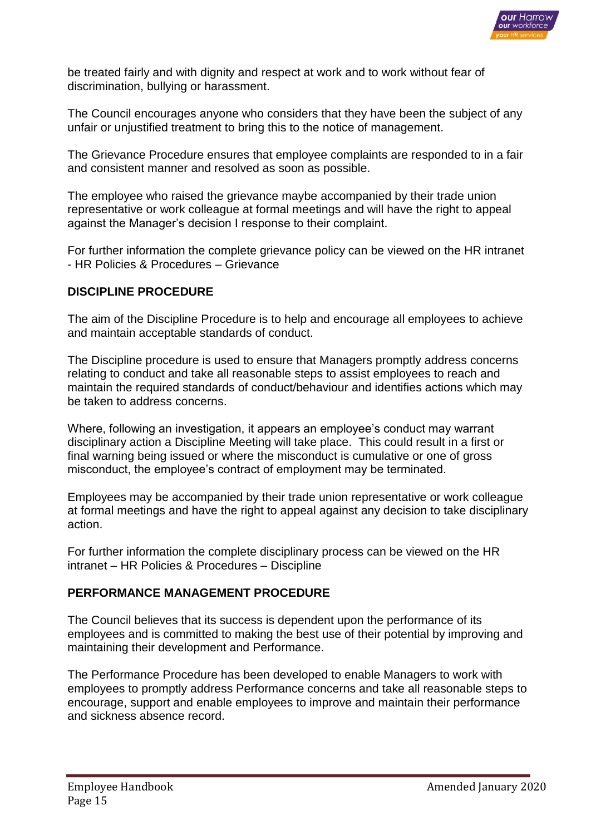

be treated fairly and with dignity and respect at work and to work without fear of discrimination, bullying or harassment.

The Council encourages anyone who considers that they have been the subject of any unfair or unjustified treatment to bring this to the notice of management.

The Grievance Procedure ensures that employee complaints are responded to in a fair and consistent manner and resolved as soon as possible.

The employee who raised the grievance maybe accompanied by their trade union representative or work colleague at formal meetings and will have the right to appeal against the Manager's decision I response to their complaint.

For further information the complete grievance policy can be viewed on the HR intranet - HR Policies & Procedures – Grievance

#### **DISCIPLINE PROCEDURE**

The aim of the Discipline Procedure is to help and encourage all employees to achieve and maintain acceptable standards of conduct.

The Discipline procedure is used to ensure that Managers promptly address concerns relating to conduct and take all reasonable steps to assist employees to reach and maintain the required standards of conduct/behaviour and identifies actions which may be taken to address concerns.

Where, following an investigation, it appears an employee's conduct may warrant disciplinary action a Discipline Meeting will take place. This could result in a first or final warning being issued or where the misconduct is cumulative or one of gross misconduct, the employee's contract of employment may be terminated.

Employees may be accompanied by their trade union representative or work colleague at formal meetings and have the right to appeal against any decision to take disciplinary action.

For further information the complete disciplinary process can be viewed on the HR intranet – HR Policies & Procedures – Discipline

#### **PERFORMANCE MANAGEMENT PROCEDURE**

The Council believes that its success is dependent upon the performance of its employees and is committed to making the best use of their potential by improving and maintaining their development and Performance.

The Performance Procedure has been developed to enable Managers to work with employees to promptly address Performance concerns and take all reasonable steps to encourage, support and enable employees to improve and maintain their performance and sickness absence record.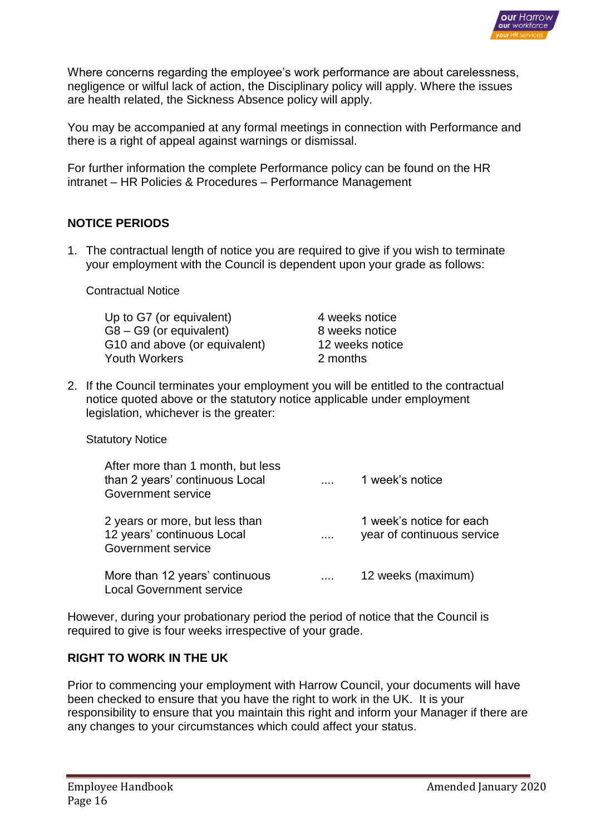

Where concerns regarding the employee's work performance are about carelessness, negligence or wilful lack of action, the Disciplinary policy will apply. Where the issues are health related, the Sickness Absence policy will apply.

You may be accompanied at any formal meetings in connection with Performance and there is a right of appeal against warnings or dismissal.

For further information the complete Performance policy can be found on the HR intranet – HR Policies & Procedures – Performance Management

### **NOTICE PERIODS**

1. The contractual length of notice you are required to give if you wish to terminate your employment with the Council is dependent upon your grade as follows:

Contractual Notice

Up to G7 (or equivalent) 4 weeks notice G8 – G9 (or equivalent) 8 weeks notice G10 and above (or equivalent) 12 weeks notice Youth Workers 2 months

2. If the Council terminates your employment you will be entitled to the contractual notice quoted above or the statutory notice applicable under employment legislation, whichever is the greater:

Statutory Notice

| After more than 1 month, but less<br>than 2 years' continuous Local<br>Government service |          | 1 week's notice                                        |
|-------------------------------------------------------------------------------------------|----------|--------------------------------------------------------|
| 2 years or more, but less than<br>12 years' continuous Local<br>Government service        | $\cdots$ | 1 week's notice for each<br>year of continuous service |
| More than 12 years' continuous<br><b>Local Government service</b>                         |          | 12 weeks (maximum)                                     |

However, during your probationary period the period of notice that the Council is required to give is four weeks irrespective of your grade.

### **RIGHT TO WORK IN THE UK**

Prior to commencing your employment with Harrow Council, your documents will have been checked to ensure that you have the right to work in the UK. It is your responsibility to ensure that you maintain this right and inform your Manager if there are any changes to your circumstances which could affect your status.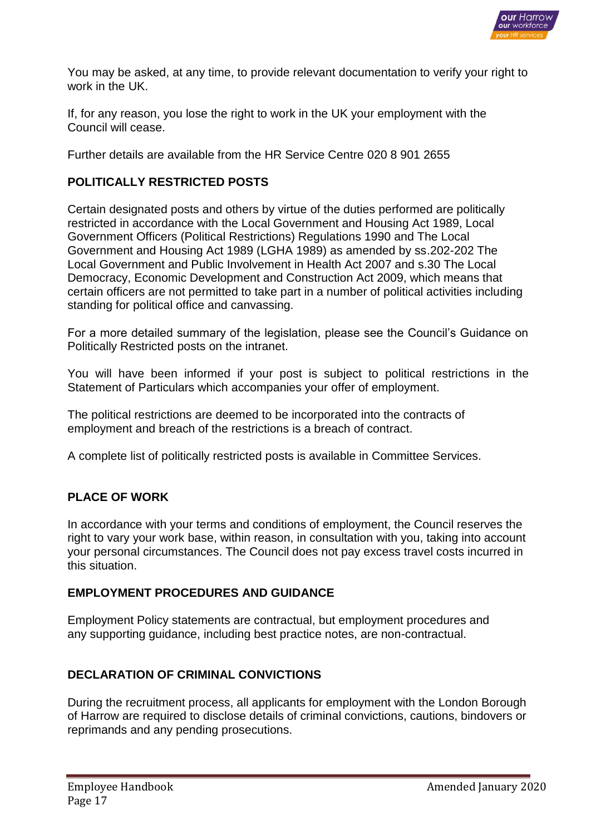

You may be asked, at any time, to provide relevant documentation to verify your right to work in the UK.

If, for any reason, you lose the right to work in the UK your employment with the Council will cease.

Further details are available from the HR Service Centre 020 8 901 2655

#### **POLITICALLY RESTRICTED POSTS**

Certain designated posts and others by virtue of the duties performed are politically restricted in accordance with the Local Government and Housing Act 1989, Local Government Officers (Political Restrictions) Regulations 1990 and The Local Government and Housing Act 1989 (LGHA 1989) as amended by ss.202-202 The Local Government and Public Involvement in Health Act 2007 and s.30 The Local Democracy, Economic Development and Construction Act 2009, which means that certain officers are not permitted to take part in a number of political activities including standing for political office and canvassing.

For a more detailed summary of the legislation, please see the Council's Guidance on Politically Restricted posts on the intranet.

You will have been informed if your post is subject to political restrictions in the Statement of Particulars which accompanies your offer of employment.

The political restrictions are deemed to be incorporated into the contracts of employment and breach of the restrictions is a breach of contract.

A complete list of politically restricted posts is available in Committee Services.

### **PLACE OF WORK**

In accordance with your terms and conditions of employment, the Council reserves the right to vary your work base, within reason, in consultation with you, taking into account your personal circumstances. The Council does not pay excess travel costs incurred in this situation.

#### **EMPLOYMENT PROCEDURES AND GUIDANCE**

Employment Policy statements are contractual, but employment procedures and any supporting guidance, including best practice notes, are non-contractual.

### **DECLARATION OF CRIMINAL CONVICTIONS**

During the recruitment process, all applicants for employment with the London Borough of Harrow are required to disclose details of criminal convictions, cautions, bindovers or reprimands and any pending prosecutions.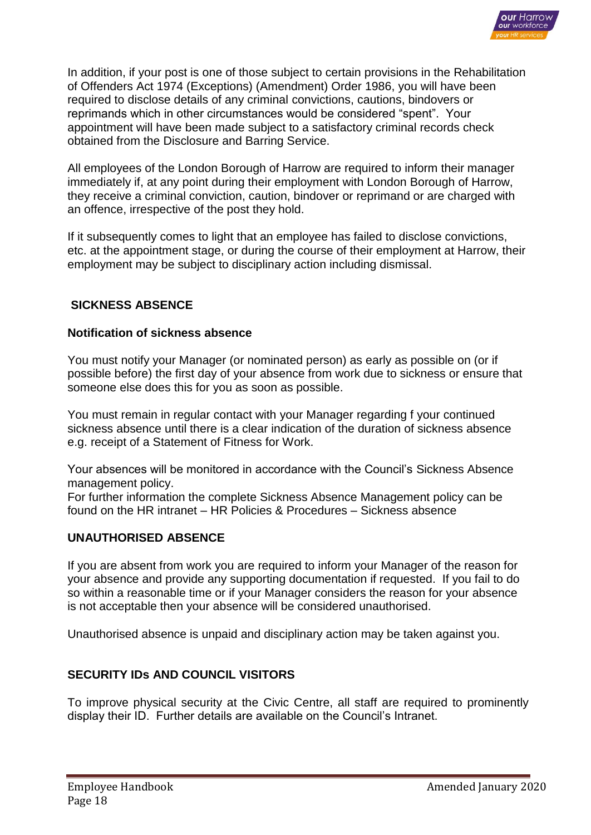

In addition, if your post is one of those subject to certain provisions in the Rehabilitation of Offenders Act 1974 (Exceptions) (Amendment) Order 1986, you will have been required to disclose details of any criminal convictions, cautions, bindovers or reprimands which in other circumstances would be considered "spent". Your appointment will have been made subject to a satisfactory criminal records check obtained from the Disclosure and Barring Service.

All employees of the London Borough of Harrow are required to inform their manager immediately if, at any point during their employment with London Borough of Harrow, they receive a criminal conviction, caution, bindover or reprimand or are charged with an offence, irrespective of the post they hold.

If it subsequently comes to light that an employee has failed to disclose convictions, etc. at the appointment stage, or during the course of their employment at Harrow, their employment may be subject to disciplinary action including dismissal.

### **SICKNESS ABSENCE**

#### **Notification of sickness absence**

You must notify your Manager (or nominated person) as early as possible on (or if possible before) the first day of your absence from work due to sickness or ensure that someone else does this for you as soon as possible.

You must remain in regular contact with your Manager regarding f your continued sickness absence until there is a clear indication of the duration of sickness absence e.g. receipt of a Statement of Fitness for Work.

Your absences will be monitored in accordance with the Council's Sickness Absence management policy.

For further information the complete Sickness Absence Management policy can be found on the HR intranet – HR Policies & Procedures – Sickness absence

#### **UNAUTHORISED ABSENCE**

If you are absent from work you are required to inform your Manager of the reason for your absence and provide any supporting documentation if requested. If you fail to do so within a reasonable time or if your Manager considers the reason for your absence is not acceptable then your absence will be considered unauthorised.

Unauthorised absence is unpaid and disciplinary action may be taken against you.

### **SECURITY IDs AND COUNCIL VISITORS**

To improve physical security at the Civic Centre, all staff are required to prominently display their ID. Further details are available on the Council's Intranet.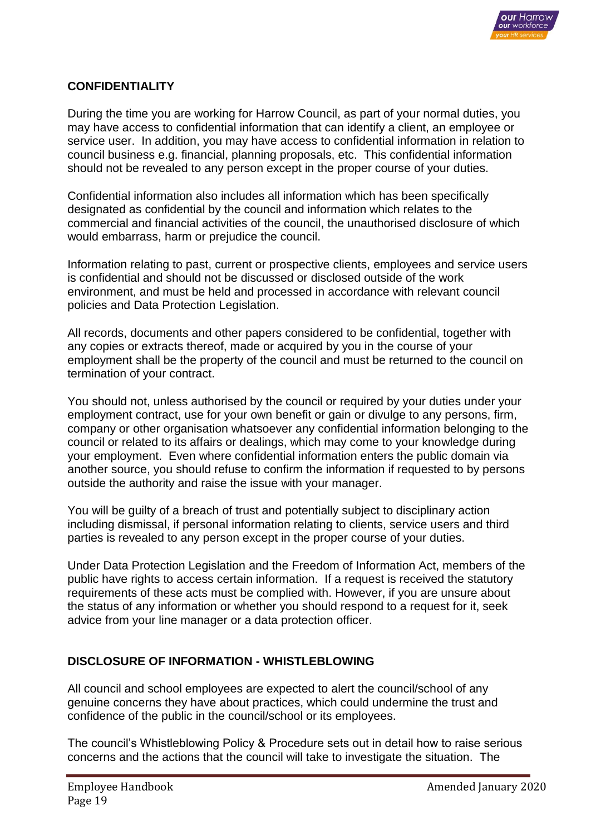

#### **CONFIDENTIALITY**

During the time you are working for Harrow Council, as part of your normal duties, you may have access to confidential information that can identify a client, an employee or service user. In addition, you may have access to confidential information in relation to council business e.g. financial, planning proposals, etc. This confidential information should not be revealed to any person except in the proper course of your duties.

Confidential information also includes all information which has been specifically designated as confidential by the council and information which relates to the commercial and financial activities of the council, the unauthorised disclosure of which would embarrass, harm or prejudice the council.

Information relating to past, current or prospective clients, employees and service users is confidential and should not be discussed or disclosed outside of the work environment, and must be held and processed in accordance with relevant council policies and Data Protection Legislation.

All records, documents and other papers considered to be confidential, together with any copies or extracts thereof, made or acquired by you in the course of your employment shall be the property of the council and must be returned to the council on termination of your contract.

You should not, unless authorised by the council or required by your duties under your employment contract, use for your own benefit or gain or divulge to any persons, firm, company or other organisation whatsoever any confidential information belonging to the council or related to its affairs or dealings, which may come to your knowledge during your employment. Even where confidential information enters the public domain via another source, you should refuse to confirm the information if requested to by persons outside the authority and raise the issue with your manager.

You will be guilty of a breach of trust and potentially subject to disciplinary action including dismissal, if personal information relating to clients, service users and third parties is revealed to any person except in the proper course of your duties.

Under Data Protection Legislation and the Freedom of Information Act, members of the public have rights to access certain information. If a request is received the statutory requirements of these acts must be complied with. However, if you are unsure about the status of any information or whether you should respond to a request for it, seek advice from your line manager or a data protection officer.

#### **DISCLOSURE OF INFORMATION - WHISTLEBLOWING**

All council and school employees are expected to alert the council/school of any genuine concerns they have about practices, which could undermine the trust and confidence of the public in the council/school or its employees.

The council's Whistleblowing Policy & Procedure sets out in detail how to raise serious concerns and the actions that the council will take to investigate the situation. The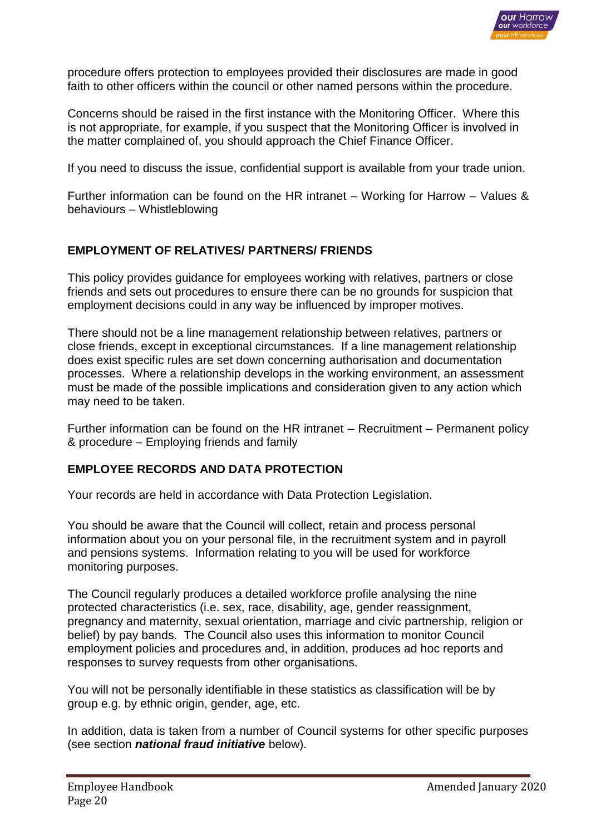

procedure offers protection to employees provided their disclosures are made in good faith to other officers within the council or other named persons within the procedure.

Concerns should be raised in the first instance with the Monitoring Officer. Where this is not appropriate, for example, if you suspect that the Monitoring Officer is involved in the matter complained of, you should approach the Chief Finance Officer.

If you need to discuss the issue, confidential support is available from your trade union.

Further information can be found on the HR intranet – Working for Harrow – Values & behaviours – Whistleblowing

# **EMPLOYMENT OF RELATIVES/ PARTNERS/ FRIENDS**

This policy provides guidance for employees working with relatives, partners or close friends and sets out procedures to ensure there can be no grounds for suspicion that employment decisions could in any way be influenced by improper motives.

There should not be a line management relationship between relatives, partners or close friends, except in exceptional circumstances. If a line management relationship does exist specific rules are set down concerning authorisation and documentation processes. Where a relationship develops in the working environment, an assessment must be made of the possible implications and consideration given to any action which may need to be taken.

Further information can be found on the HR intranet – Recruitment – Permanent policy & procedure – Employing friends and family

### **EMPLOYEE RECORDS AND DATA PROTECTION**

Your records are held in accordance with Data Protection Legislation.

You should be aware that the Council will collect, retain and process personal information about you on your personal file, in the recruitment system and in payroll and pensions systems. Information relating to you will be used for workforce monitoring purposes.

The Council regularly produces a detailed workforce profile analysing the nine protected characteristics (i.e. sex, race, disability, age, gender reassignment, pregnancy and maternity, sexual orientation, marriage and civic partnership, religion or belief) by pay bands. The Council also uses this information to monitor Council employment policies and procedures and, in addition, produces ad hoc reports and responses to survey requests from other organisations.

You will not be personally identifiable in these statistics as classification will be by group e.g. by ethnic origin, gender, age, etc.

In addition, data is taken from a number of Council systems for other specific purposes (see section *national fraud initiative* below).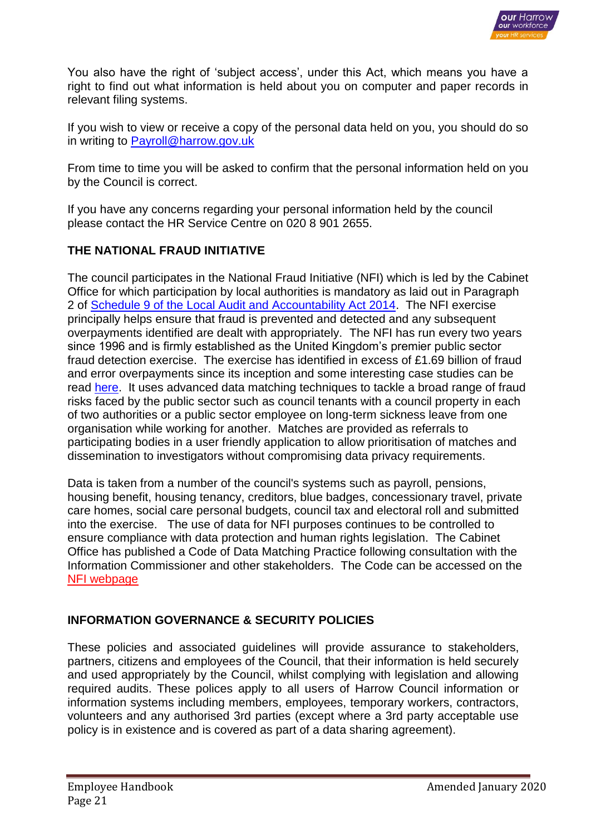

You also have the right of 'subject access', under this Act, which means you have a right to find out what information is held about you on computer and paper records in relevant filing systems.

If you wish to view or receive a copy of the personal data held on you, you should do so in writing to [Payroll@harrow.gov.uk](mailto:Payroll@harrow.gov.uk)

From time to time you will be asked to confirm that the personal information held on you by the Council is correct.

If you have any concerns regarding your personal information held by the council please contact the HR Service Centre on 020 8 901 2655.

# **THE NATIONAL FRAUD INITIATIVE**

The council participates in the National Fraud Initiative (NFI) which is led by the Cabinet Office for which participation by local authorities is mandatory as laid out in Paragraph 2 of Schedule 9 of the [Local Audit and Accountability Act 2014.](http://www.legislation.gov.uk/ukpga/2014/2/schedule/9/enacted) The NFI exercise principally helps ensure that fraud is prevented and detected and any subsequent overpayments identified are dealt with appropriately. The NFI has run every two years since 1996 and is firmly established as the United Kingdom's premier public sector fraud detection exercise. The exercise has identified in excess of £1.69 billion of fraud and error overpayments since its inception and some interesting case studies can be read [here.](https://www.gov.uk/government/publications/national-fraud-initiative-case-studies) It uses advanced data matching techniques to tackle a broad range of fraud risks faced by the public sector such as council tenants with a council property in each of two authorities or a public sector employee on long-term sickness leave from one organisation while working for another. Matches are provided as referrals to participating bodies in a user friendly application to allow prioritisation of matches and dissemination to investigators without compromising data privacy requirements.

Data is taken from a number of the council's systems such as payroll, pensions, housing benefit, housing tenancy, creditors, blue badges, concessionary travel, private care homes, social care personal budgets, council tax and electoral roll and submitted into the exercise. The use of data for NFI purposes continues to be controlled to ensure compliance with data protection and human rights legislation. The Cabinet Office has published a Code of Data Matching Practice following consultation with the Information Commissioner and other stakeholders. The Code can be accessed on the [NFI webpage](https://www.gov.uk/government/collections/national-fraud-initiative)

### **INFORMATION GOVERNANCE & SECURITY POLICIES**

These policies and associated guidelines will provide assurance to stakeholders, partners, citizens and employees of the Council, that their information is held securely and used appropriately by the Council, whilst complying with legislation and allowing required audits. These polices apply to all users of Harrow Council information or information systems including members, employees, temporary workers, contractors, volunteers and any authorised 3rd parties (except where a 3rd party acceptable use policy is in existence and is covered as part of a data sharing agreement).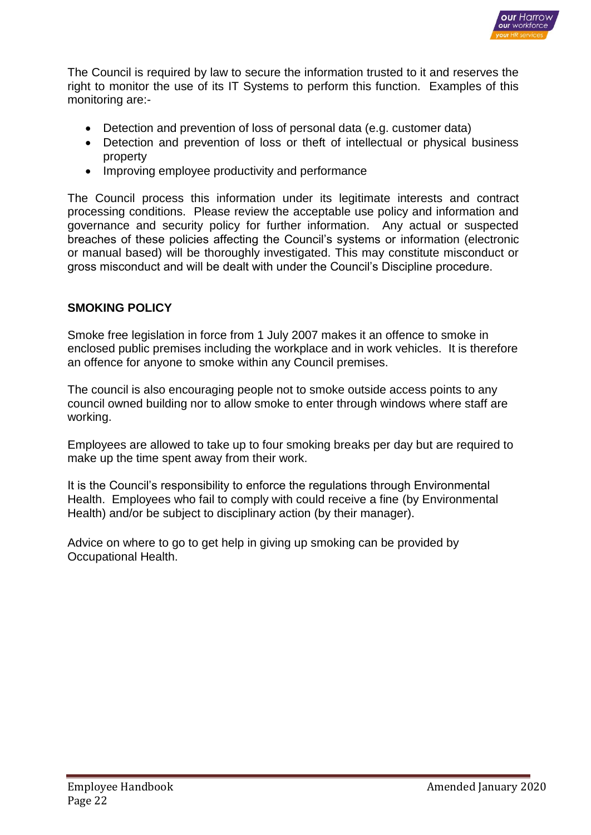

The Council is required by law to secure the information trusted to it and reserves the right to monitor the use of its IT Systems to perform this function. Examples of this monitoring are:-

- Detection and prevention of loss of personal data (e.g. customer data)
- Detection and prevention of loss or theft of intellectual or physical business property
- Improving employee productivity and performance

The Council process this information under its legitimate interests and contract processing conditions. Please review the acceptable use policy and information and governance and security policy for further information. Any actual or suspected breaches of these policies affecting the Council's systems or information (electronic or manual based) will be thoroughly investigated. This may constitute misconduct or gross misconduct and will be dealt with under the Council's Discipline procedure.

# **SMOKING POLICY**

Smoke free legislation in force from 1 July 2007 makes it an offence to smoke in enclosed public premises including the workplace and in work vehicles. It is therefore an offence for anyone to smoke within any Council premises.

The council is also encouraging people not to smoke outside access points to any council owned building nor to allow smoke to enter through windows where staff are working.

Employees are allowed to take up to four smoking breaks per day but are required to make up the time spent away from their work.

It is the Council's responsibility to enforce the regulations through Environmental Health. Employees who fail to comply with could receive a fine (by Environmental Health) and/or be subject to disciplinary action (by their manager).

Advice on where to go to get help in giving up smoking can be provided by Occupational Health.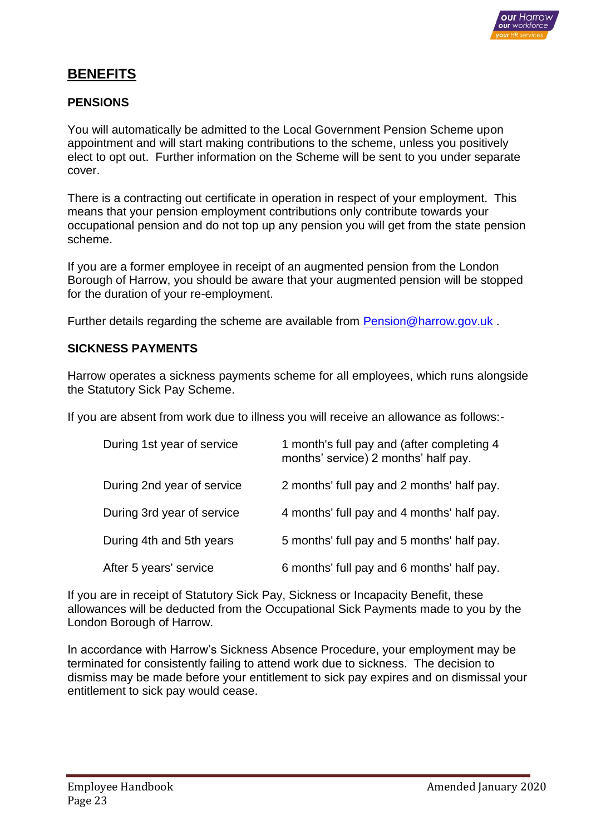

# **BENEFITS**

#### **PENSIONS**

You will automatically be admitted to the Local Government Pension Scheme upon appointment and will start making contributions to the scheme, unless you positively elect to opt out. Further information on the Scheme will be sent to you under separate cover.

There is a contracting out certificate in operation in respect of your employment. This means that your pension employment contributions only contribute towards your occupational pension and do not top up any pension you will get from the state pension scheme.

If you are a former employee in receipt of an augmented pension from the London Borough of Harrow, you should be aware that your augmented pension will be stopped for the duration of your re-employment.

Further details regarding the scheme are available from [Pension@harrow.gov.uk](mailto:Pension@harrow.gov.uk) .

#### **SICKNESS PAYMENTS**

Harrow operates a sickness payments scheme for all employees, which runs alongside the Statutory Sick Pay Scheme.

If you are absent from work due to illness you will receive an allowance as follows:-

| During 1st year of service | 1 month's full pay and (after completing 4<br>months' service) 2 months' half pay. |
|----------------------------|------------------------------------------------------------------------------------|
| During 2nd year of service | 2 months' full pay and 2 months' half pay.                                         |
| During 3rd year of service | 4 months' full pay and 4 months' half pay.                                         |
| During 4th and 5th years   | 5 months' full pay and 5 months' half pay.                                         |
| After 5 years' service     | 6 months' full pay and 6 months' half pay.                                         |

If you are in receipt of Statutory Sick Pay, Sickness or Incapacity Benefit, these allowances will be deducted from the Occupational Sick Payments made to you by the London Borough of Harrow.

In accordance with Harrow's Sickness Absence Procedure, your employment may be terminated for consistently failing to attend work due to sickness. The decision to dismiss may be made before your entitlement to sick pay expires and on dismissal your entitlement to sick pay would cease.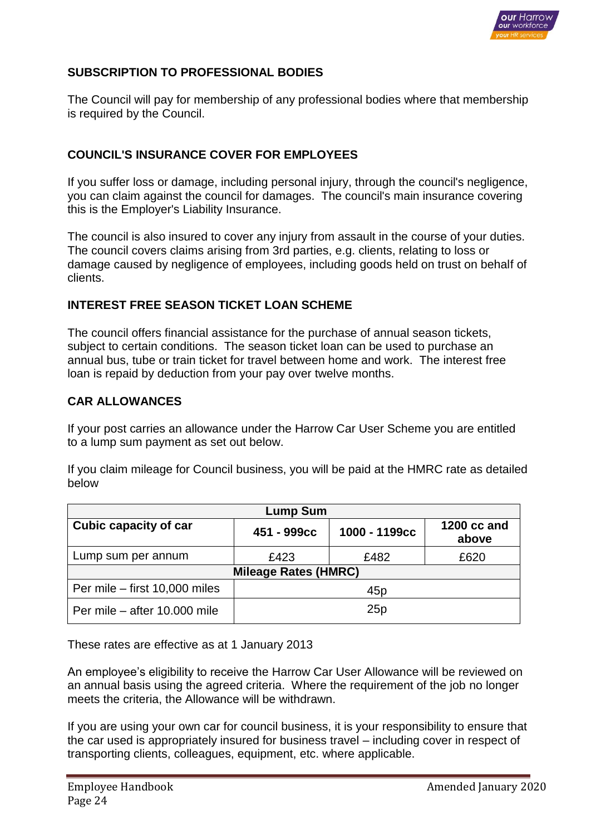

# **SUBSCRIPTION TO PROFESSIONAL BODIES**

The Council will pay for membership of any professional bodies where that membership is required by the Council.

## **COUNCIL'S INSURANCE COVER FOR EMPLOYEES**

If you suffer loss or damage, including personal injury, through the council's negligence, you can claim against the council for damages. The council's main insurance covering this is the Employer's Liability Insurance.

The council is also insured to cover any injury from assault in the course of your duties. The council covers claims arising from 3rd parties, e.g. clients, relating to loss or damage caused by negligence of employees, including goods held on trust on behalf of clients.

### **INTEREST FREE SEASON TICKET LOAN SCHEME**

The council offers financial assistance for the purchase of annual season tickets, subject to certain conditions. The season ticket loan can be used to purchase an annual bus, tube or train ticket for travel between home and work. The interest free loan is repaid by deduction from your pay over twelve months.

#### **CAR ALLOWANCES**

If your post carries an allowance under the Harrow Car User Scheme you are entitled to a lump sum payment as set out below.

If you claim mileage for Council business, you will be paid at the HMRC rate as detailed below

| <b>Lump Sum</b>               |                 |               |                      |  |
|-------------------------------|-----------------|---------------|----------------------|--|
| Cubic capacity of car         | 451 - 999cc     | 1000 - 1199cc | 1200 cc and<br>above |  |
| Lump sum per annum            | £423            | £482          | £620                 |  |
| <b>Mileage Rates (HMRC)</b>   |                 |               |                      |  |
| Per mile - first 10,000 miles | 45 <sub>p</sub> |               |                      |  |
| Per mile – after 10,000 mile  | 25p             |               |                      |  |

These rates are effective as at 1 January 2013

An employee's eligibility to receive the Harrow Car User Allowance will be reviewed on an annual basis using the agreed criteria. Where the requirement of the job no longer meets the criteria, the Allowance will be withdrawn.

If you are using your own car for council business, it is your responsibility to ensure that the car used is appropriately insured for business travel – including cover in respect of transporting clients, colleagues, equipment, etc. where applicable.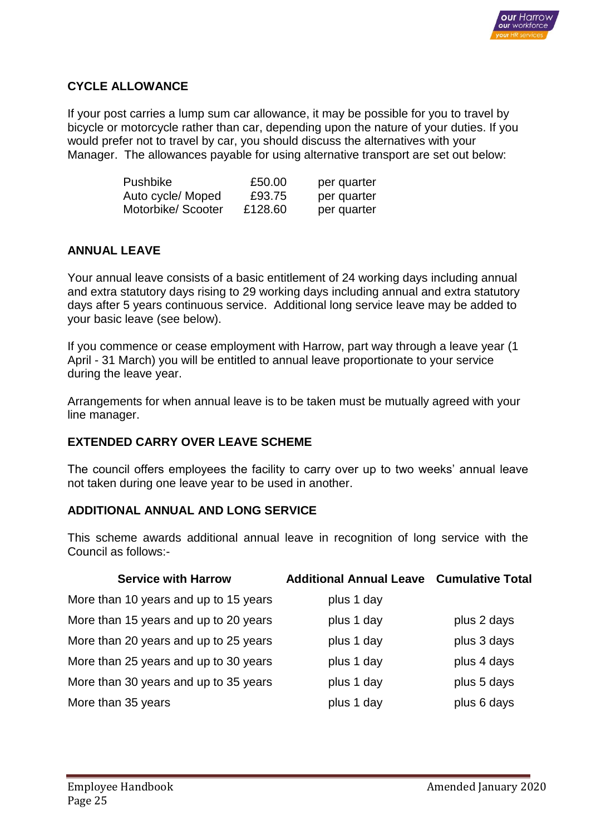

## **CYCLE ALLOWANCE**

If your post carries a lump sum car allowance, it may be possible for you to travel by bicycle or motorcycle rather than car, depending upon the nature of your duties. If you would prefer not to travel by car, you should discuss the alternatives with your Manager. The allowances payable for using alternative transport are set out below:

| Pushbike          | £50.00  | per quarter |
|-------------------|---------|-------------|
| Auto cycle/ Moped | £93.75  | per quarter |
| Motorbike/Scooter | £128.60 | per quarter |

# **ANNUAL LEAVE**

Your annual leave consists of a basic entitlement of 24 working days including annual and extra statutory days rising to 29 working days including annual and extra statutory days after 5 years continuous service. Additional long service leave may be added to your basic leave (see below).

If you commence or cease employment with Harrow, part way through a leave year (1 April - 31 March) you will be entitled to annual leave proportionate to your service during the leave year.

Arrangements for when annual leave is to be taken must be mutually agreed with your line manager.

### **EXTENDED CARRY OVER LEAVE SCHEME**

The council offers employees the facility to carry over up to two weeks' annual leave not taken during one leave year to be used in another.

### **ADDITIONAL ANNUAL AND LONG SERVICE**

This scheme awards additional annual leave in recognition of long service with the Council as follows:-

| <b>Service with Harrow</b>            | <b>Additional Annual Leave Cumulative Total</b> |             |
|---------------------------------------|-------------------------------------------------|-------------|
| More than 10 years and up to 15 years | plus 1 day                                      |             |
| More than 15 years and up to 20 years | plus 1 day                                      | plus 2 days |
| More than 20 years and up to 25 years | plus 1 day                                      | plus 3 days |
| More than 25 years and up to 30 years | plus 1 day                                      | plus 4 days |
| More than 30 years and up to 35 years | plus 1 day                                      | plus 5 days |
| More than 35 years                    | plus 1 day                                      | plus 6 days |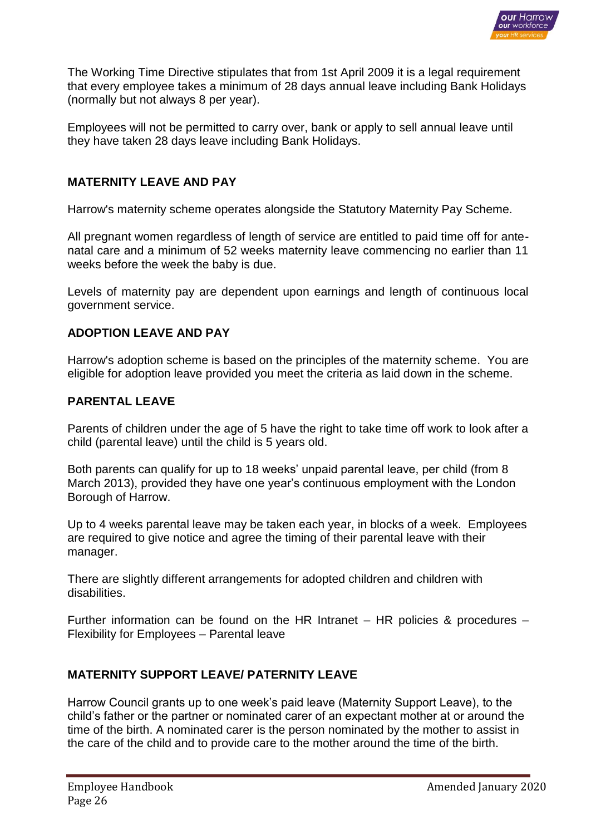

The Working Time Directive stipulates that from 1st April 2009 it is a legal requirement that every employee takes a minimum of 28 days annual leave including Bank Holidays (normally but not always 8 per year).

Employees will not be permitted to carry over, bank or apply to sell annual leave until they have taken 28 days leave including Bank Holidays.

### **MATERNITY LEAVE AND PAY**

Harrow's maternity scheme operates alongside the Statutory Maternity Pay Scheme.

All pregnant women regardless of length of service are entitled to paid time off for antenatal care and a minimum of 52 weeks maternity leave commencing no earlier than 11 weeks before the week the baby is due.

Levels of maternity pay are dependent upon earnings and length of continuous local government service.

#### **ADOPTION LEAVE AND PAY**

Harrow's adoption scheme is based on the principles of the maternity scheme. You are eligible for adoption leave provided you meet the criteria as laid down in the scheme.

#### **PARENTAL LEAVE**

Parents of children under the age of 5 have the right to take time off work to look after a child (parental leave) until the child is 5 years old.

Both parents can qualify for up to 18 weeks' unpaid parental leave, per child (from 8 March 2013), provided they have one year's continuous employment with the London Borough of Harrow.

Up to 4 weeks parental leave may be taken each year, in blocks of a week. Employees are required to give notice and agree the timing of their parental leave with their manager.

There are slightly different arrangements for adopted children and children with disabilities.

Further information can be found on the HR Intranet – HR policies & procedures – Flexibility for Employees – Parental leave

### **MATERNITY SUPPORT LEAVE/ PATERNITY LEAVE**

Harrow Council grants up to one week's paid leave (Maternity Support Leave), to the child's father or the partner or nominated carer of an expectant mother at or around the time of the birth. A nominated carer is the person nominated by the mother to assist in the care of the child and to provide care to the mother around the time of the birth.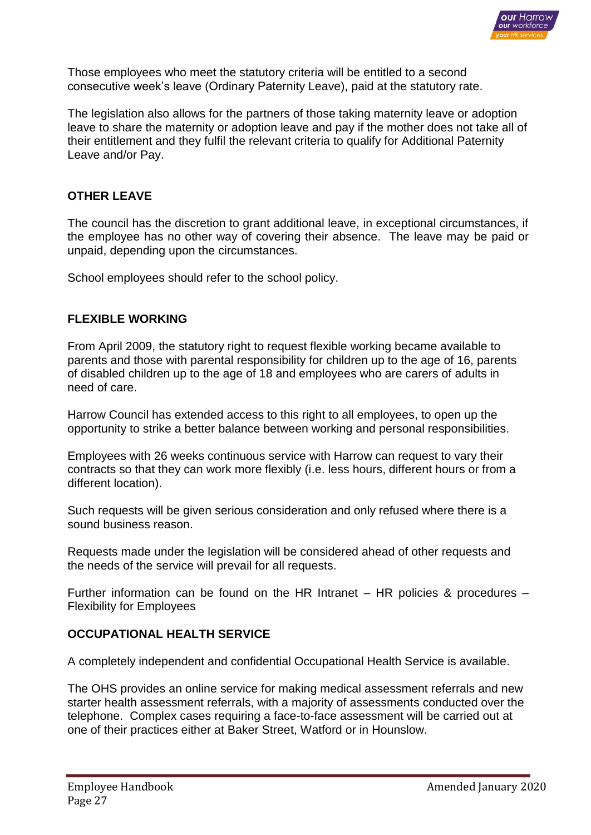

Those employees who meet the statutory criteria will be entitled to a second consecutive week's leave (Ordinary Paternity Leave), paid at the statutory rate.

The legislation also allows for the partners of those taking maternity leave or adoption leave to share the maternity or adoption leave and pay if the mother does not take all of their entitlement and they fulfil the relevant criteria to qualify for Additional Paternity Leave and/or Pay.

#### **OTHER LEAVE**

The council has the discretion to grant additional leave, in exceptional circumstances, if the employee has no other way of covering their absence. The leave may be paid or unpaid, depending upon the circumstances.

School employees should refer to the school policy.

#### **FLEXIBLE WORKING**

From April 2009, the statutory right to request flexible working became available to parents and those with parental responsibility for children up to the age of 16, parents of disabled children up to the age of 18 and employees who are carers of adults in need of care.

Harrow Council has extended access to this right to all employees, to open up the opportunity to strike a better balance between working and personal responsibilities.

Employees with 26 weeks continuous service with Harrow can request to vary their contracts so that they can work more flexibly (i.e. less hours, different hours or from a different location).

Such requests will be given serious consideration and only refused where there is a sound business reason.

Requests made under the legislation will be considered ahead of other requests and the needs of the service will prevail for all requests.

Further information can be found on the HR Intranet – HR policies & procedures – Flexibility for Employees

#### **OCCUPATIONAL HEALTH SERVICE**

A completely independent and confidential Occupational Health Service is available.

The OHS provides an online service for making medical assessment referrals and new starter health assessment referrals, with a majority of assessments conducted over the telephone. Complex cases requiring a face-to-face assessment will be carried out at one of their practices either at Baker Street, Watford or in Hounslow.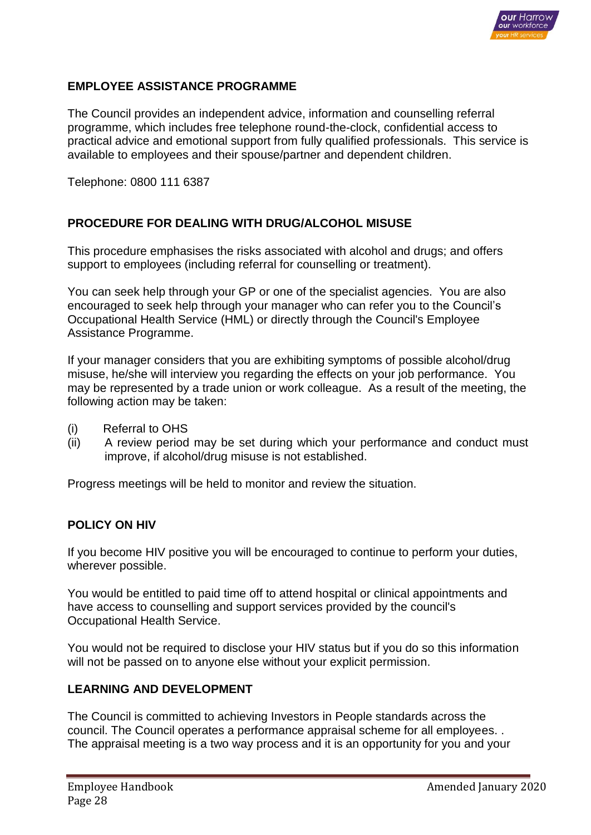

## **EMPLOYEE ASSISTANCE PROGRAMME**

The Council provides an independent advice, information and counselling referral programme, which includes free telephone round-the-clock, confidential access to practical advice and emotional support from fully qualified professionals. This service is available to employees and their spouse/partner and dependent children.

Telephone: 0800 111 6387

# **PROCEDURE FOR DEALING WITH DRUG/ALCOHOL MISUSE**

This procedure emphasises the risks associated with alcohol and drugs; and offers support to employees (including referral for counselling or treatment).

You can seek help through your GP or one of the specialist agencies. You are also encouraged to seek help through your manager who can refer you to the Council's Occupational Health Service (HML) or directly through the Council's Employee Assistance Programme.

If your manager considers that you are exhibiting symptoms of possible alcohol/drug misuse, he/she will interview you regarding the effects on your job performance. You may be represented by a trade union or work colleague. As a result of the meeting, the following action may be taken:

- (i) Referral to OHS
- (ii) A review period may be set during which your performance and conduct must improve, if alcohol/drug misuse is not established.

Progress meetings will be held to monitor and review the situation.

#### **POLICY ON HIV**

If you become HIV positive you will be encouraged to continue to perform your duties, wherever possible.

You would be entitled to paid time off to attend hospital or clinical appointments and have access to counselling and support services provided by the council's Occupational Health Service.

You would not be required to disclose your HIV status but if you do so this information will not be passed on to anyone else without your explicit permission.

### **LEARNING AND DEVELOPMENT**

The Council is committed to achieving Investors in People standards across the council. The Council operates a performance appraisal scheme for all employees. . The appraisal meeting is a two way process and it is an opportunity for you and your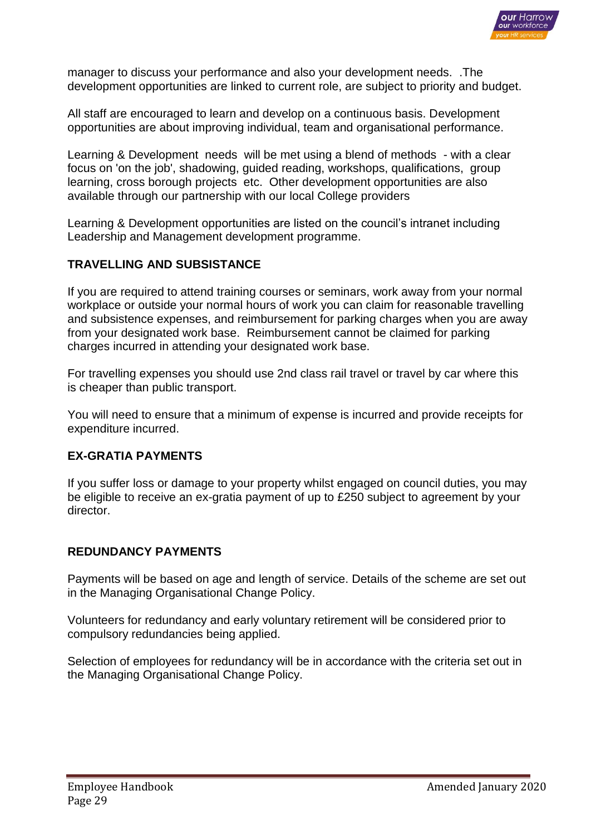

manager to discuss your performance and also your development needs. .The development opportunities are linked to current role, are subject to priority and budget.

All staff are encouraged to learn and develop on a continuous basis. Development opportunities are about improving individual, team and organisational performance.

Learning & Development needs will be met using a blend of methods - with a clear focus on 'on the job', shadowing, guided reading, workshops, qualifications, group learning, cross borough projects etc. Other development opportunities are also available through our partnership with our local College providers

Learning & Development opportunities are listed on the council's intranet including Leadership and Management development programme.

### **TRAVELLING AND SUBSISTANCE**

If you are required to attend training courses or seminars, work away from your normal workplace or outside your normal hours of work you can claim for reasonable travelling and subsistence expenses, and reimbursement for parking charges when you are away from your designated work base. Reimbursement cannot be claimed for parking charges incurred in attending your designated work base.

For travelling expenses you should use 2nd class rail travel or travel by car where this is cheaper than public transport.

You will need to ensure that a minimum of expense is incurred and provide receipts for expenditure incurred.

### **EX-GRATIA PAYMENTS**

If you suffer loss or damage to your property whilst engaged on council duties, you may be eligible to receive an ex-gratia payment of up to £250 subject to agreement by your director.

### **REDUNDANCY PAYMENTS**

Payments will be based on age and length of service. Details of the scheme are set out in the Managing Organisational Change Policy.

Volunteers for redundancy and early voluntary retirement will be considered prior to compulsory redundancies being applied.

Selection of employees for redundancy will be in accordance with the criteria set out in the Managing Organisational Change Policy.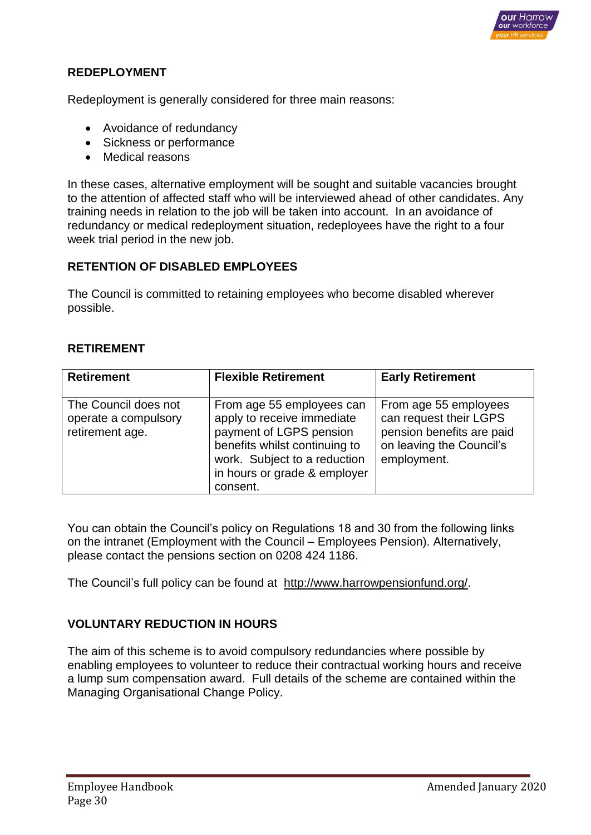

# **REDEPLOYMENT**

Redeployment is generally considered for three main reasons:

- Avoidance of redundancy
- Sickness or performance
- Medical reasons

In these cases, alternative employment will be sought and suitable vacancies brought to the attention of affected staff who will be interviewed ahead of other candidates. Any training needs in relation to the job will be taken into account. In an avoidance of redundancy or medical redeployment situation, redeployees have the right to a four week trial period in the new job.

### **RETENTION OF DISABLED EMPLOYEES**

The Council is committed to retaining employees who become disabled wherever possible.

#### **RETIREMENT**

| <b>Retirement</b>                                               | <b>Flexible Retirement</b>                                                                                                                                                                      | <b>Early Retirement</b>                                                                                                 |
|-----------------------------------------------------------------|-------------------------------------------------------------------------------------------------------------------------------------------------------------------------------------------------|-------------------------------------------------------------------------------------------------------------------------|
| The Council does not<br>operate a compulsory<br>retirement age. | From age 55 employees can<br>apply to receive immediate<br>payment of LGPS pension<br>benefits whilst continuing to<br>work. Subject to a reduction<br>in hours or grade & employer<br>consent. | From age 55 employees<br>can request their LGPS<br>pension benefits are paid<br>on leaving the Council's<br>employment. |

You can obtain the Council's policy on Regulations 18 and 30 from the following links on the intranet (Employment with the Council – Employees Pension). Alternatively, please contact the pensions section on 0208 424 1186.

The Council's full policy can be found at [http://www.harrowpensionfund.org/.](http://www.harrowpensionfund.org/)

### **VOLUNTARY REDUCTION IN HOURS**

The aim of this scheme is to avoid compulsory redundancies where possible by enabling employees to volunteer to reduce their contractual working hours and receive a lump sum compensation award. Full details of the scheme are contained within the Managing Organisational Change Policy.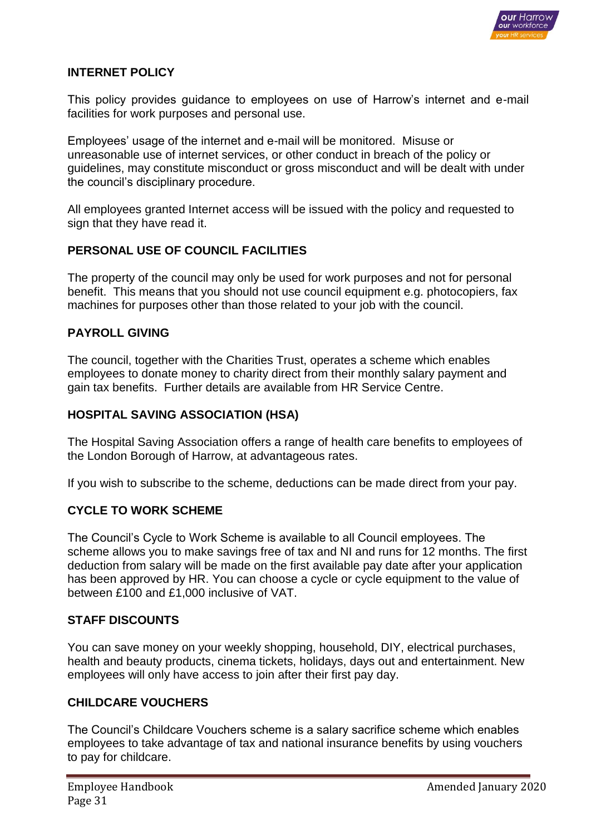

### **INTERNET POLICY**

This policy provides guidance to employees on use of Harrow's internet and e-mail facilities for work purposes and personal use.

Employees' usage of the internet and e-mail will be monitored. Misuse or unreasonable use of internet services, or other conduct in breach of the policy or guidelines, may constitute misconduct or gross misconduct and will be dealt with under the council's disciplinary procedure.

All employees granted Internet access will be issued with the policy and requested to sign that they have read it.

# **PERSONAL USE OF COUNCIL FACILITIES**

The property of the council may only be used for work purposes and not for personal benefit. This means that you should not use council equipment e.g. photocopiers, fax machines for purposes other than those related to your job with the council.

# **PAYROLL GIVING**

The council, together with the Charities Trust, operates a scheme which enables employees to donate money to charity direct from their monthly salary payment and gain tax benefits. Further details are available from HR Service Centre.

# **HOSPITAL SAVING ASSOCIATION (HSA)**

The Hospital Saving Association offers a range of health care benefits to employees of the London Borough of Harrow, at advantageous rates.

If you wish to subscribe to the scheme, deductions can be made direct from your pay.

# **CYCLE TO WORK SCHEME**

The Council's Cycle to Work Scheme is available to all Council employees. The scheme allows you to make savings free of tax and NI and runs for 12 months. The first deduction from salary will be made on the first available pay date after your application has been approved by HR. You can choose a cycle or cycle equipment to the value of between £100 and £1,000 inclusive of VAT.

### **STAFF DISCOUNTS**

You can save money on your weekly shopping, household, DIY, electrical purchases, health and beauty products, cinema tickets, holidays, days out and entertainment. New employees will only have access to join after their first pay day.

### **CHILDCARE VOUCHERS**

The Council's Childcare Vouchers scheme is a salary sacrifice scheme which enables employees to take advantage of tax and national insurance benefits by using vouchers to pay for childcare.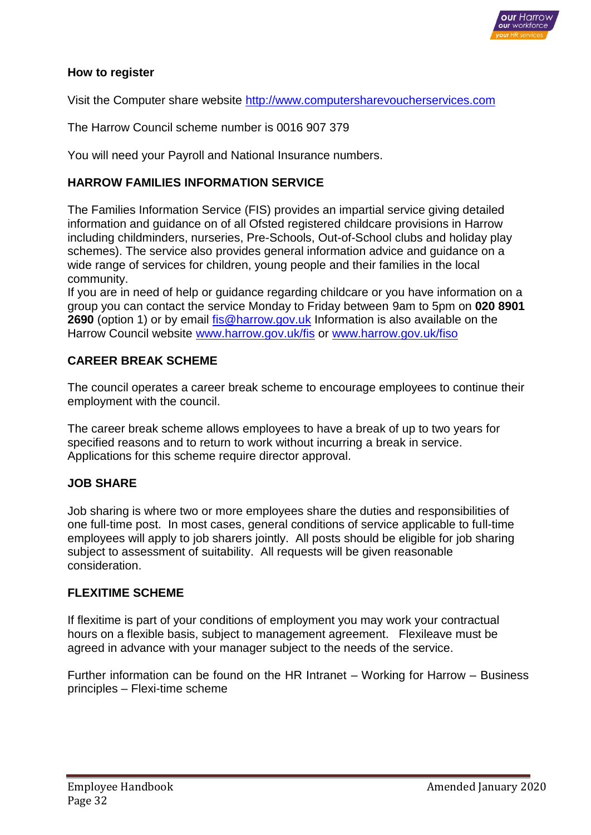

## **How to register**

Visit the [Computer share website](http://www.computersharevoucherservices.com/Pages/default.aspx) [http://www.computersharevoucherservices.com](http://www.computersharevoucherservices.com/)

The Harrow Council scheme number is 0016 907 379

You will need your Payroll and National Insurance numbers.

# **HARROW FAMILIES INFORMATION SERVICE**

The Families Information Service (FIS) provides an impartial service giving detailed information and guidance on of all Ofsted registered childcare provisions in Harrow including childminders, nurseries, Pre-Schools, Out-of-School clubs and holiday play schemes). The service also provides general information advice and guidance on a wide range of services for children, young people and their families in the local community.

If you are in need of help or guidance regarding childcare or you have information on a group you can contact the service Monday to Friday between 9am to 5pm on **020 8901 2690** (option 1) or by email [fis@harrow.gov.uk](mailto:fis@harrow.gov.uk) Information is also available on the Harrow Council website [www.harrow.gov.uk/fis](http://www.harrow.gov.uk/fis) or [www.harrow.gov.uk/fiso](http://www.harrow.gov.uk/fiso)

# **CAREER BREAK SCHEME**

The council operates a career break scheme to encourage employees to continue their employment with the council.

The career break scheme allows employees to have a break of up to two years for specified reasons and to return to work without incurring a break in service. Applications for this scheme require director approval.

### **JOB SHARE**

Job sharing is where two or more employees share the duties and responsibilities of one full-time post. In most cases, general conditions of service applicable to full-time employees will apply to job sharers jointly. All posts should be eligible for job sharing subject to assessment of suitability. All requests will be given reasonable consideration.

#### **FLEXITIME SCHEME**

If flexitime is part of your conditions of employment you may work your contractual hours on a flexible basis, subject to management agreement. Flexileave must be agreed in advance with your manager subject to the needs of the service.

Further information can be found on the HR Intranet – Working for Harrow – Business principles – Flexi-time scheme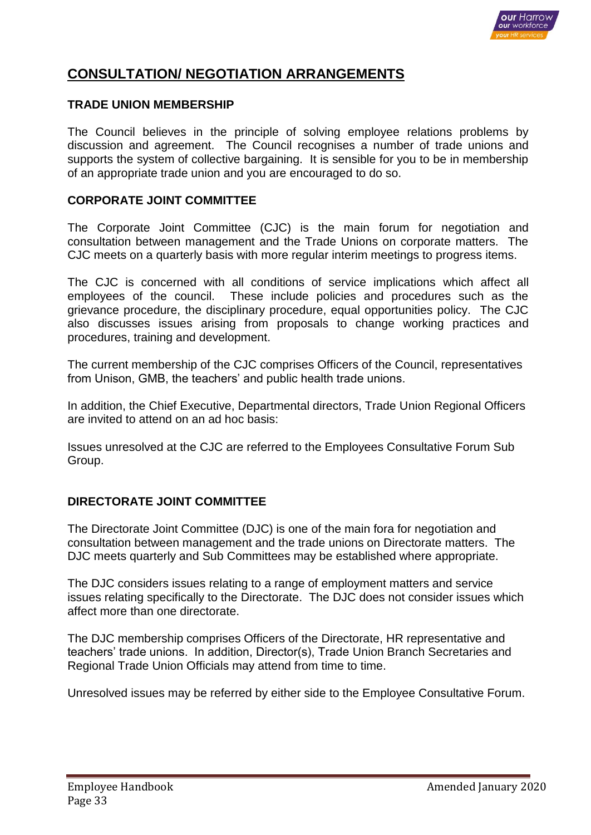

# **CONSULTATION/ NEGOTIATION ARRANGEMENTS**

#### **TRADE UNION MEMBERSHIP**

The Council believes in the principle of solving employee relations problems by discussion and agreement. The Council recognises a number of trade unions and supports the system of collective bargaining. It is sensible for you to be in membership of an appropriate trade union and you are encouraged to do so.

#### **CORPORATE JOINT COMMITTEE**

The Corporate Joint Committee (CJC) is the main forum for negotiation and consultation between management and the Trade Unions on corporate matters. The CJC meets on a quarterly basis with more regular interim meetings to progress items.

The CJC is concerned with all conditions of service implications which affect all employees of the council. These include policies and procedures such as the grievance procedure, the disciplinary procedure, equal opportunities policy. The CJC also discusses issues arising from proposals to change working practices and procedures, training and development.

The current membership of the CJC comprises Officers of the Council, representatives from Unison, GMB, the teachers' and public health trade unions.

In addition, the Chief Executive, Departmental directors, Trade Union Regional Officers are invited to attend on an ad hoc basis:

Issues unresolved at the CJC are referred to the Employees Consultative Forum Sub Group.

### **DIRECTORATE JOINT COMMITTEE**

The Directorate Joint Committee (DJC) is one of the main fora for negotiation and consultation between management and the trade unions on Directorate matters. The DJC meets quarterly and Sub Committees may be established where appropriate.

The DJC considers issues relating to a range of employment matters and service issues relating specifically to the Directorate. The DJC does not consider issues which affect more than one directorate.

The DJC membership comprises Officers of the Directorate, HR representative and teachers' trade unions. In addition, Director(s), Trade Union Branch Secretaries and Regional Trade Union Officials may attend from time to time.

Unresolved issues may be referred by either side to the Employee Consultative Forum.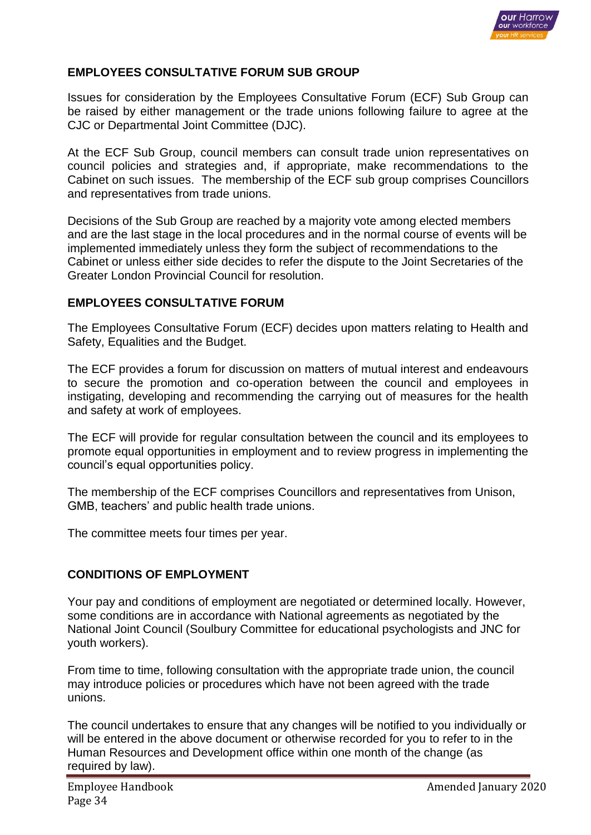

## **EMPLOYEES CONSULTATIVE FORUM SUB GROUP**

Issues for consideration by the Employees Consultative Forum (ECF) Sub Group can be raised by either management or the trade unions following failure to agree at the CJC or Departmental Joint Committee (DJC).

At the ECF Sub Group, council members can consult trade union representatives on council policies and strategies and, if appropriate, make recommendations to the Cabinet on such issues. The membership of the ECF sub group comprises Councillors and representatives from trade unions.

Decisions of the Sub Group are reached by a majority vote among elected members and are the last stage in the local procedures and in the normal course of events will be implemented immediately unless they form the subject of recommendations to the Cabinet or unless either side decides to refer the dispute to the Joint Secretaries of the Greater London Provincial Council for resolution.

#### **EMPLOYEES CONSULTATIVE FORUM**

The Employees Consultative Forum (ECF) decides upon matters relating to Health and Safety, Equalities and the Budget.

The ECF provides a forum for discussion on matters of mutual interest and endeavours to secure the promotion and co-operation between the council and employees in instigating, developing and recommending the carrying out of measures for the health and safety at work of employees.

The ECF will provide for regular consultation between the council and its employees to promote equal opportunities in employment and to review progress in implementing the council's equal opportunities policy.

The membership of the ECF comprises Councillors and representatives from Unison, GMB, teachers' and public health trade unions.

The committee meets four times per year.

### **CONDITIONS OF EMPLOYMENT**

Your pay and conditions of employment are negotiated or determined locally. However, some conditions are in accordance with National agreements as negotiated by the National Joint Council (Soulbury Committee for educational psychologists and JNC for youth workers).

From time to time, following consultation with the appropriate trade union, the council may introduce policies or procedures which have not been agreed with the trade unions.

The council undertakes to ensure that any changes will be notified to you individually or will be entered in the above document or otherwise recorded for you to refer to in the Human Resources and Development office within one month of the change (as required by law).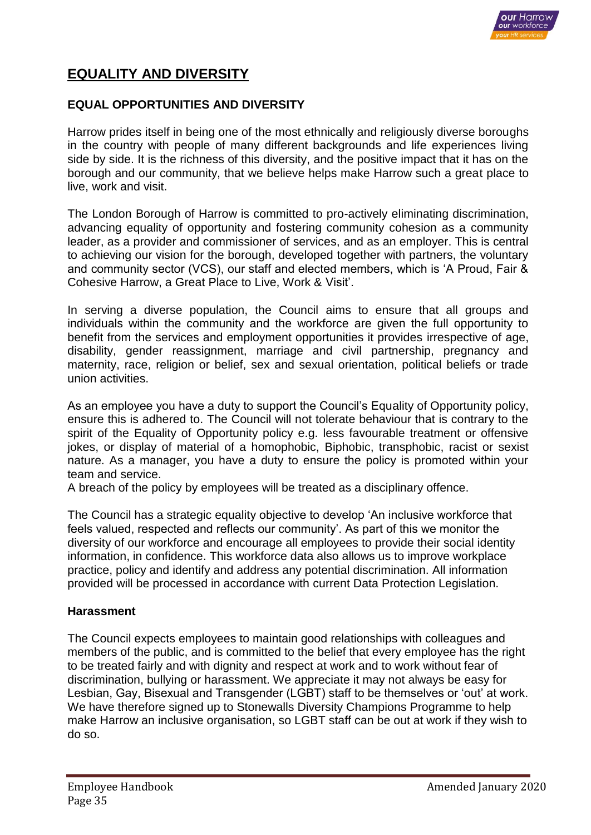

# **EQUALITY AND DIVERSITY**

# **EQUAL OPPORTUNITIES AND DIVERSITY**

Harrow prides itself in being one of the most ethnically and religiously diverse boroughs in the country with people of many different backgrounds and life experiences living side by side. It is the richness of this diversity, and the positive impact that it has on the borough and our community, that we believe helps make Harrow such a great place to live, work and visit.

The London Borough of Harrow is committed to pro-actively eliminating discrimination, advancing equality of opportunity and fostering community cohesion as a community leader, as a provider and commissioner of services, and as an employer. This is central to achieving our vision for the borough, developed together with partners, the voluntary and community sector (VCS), our staff and elected members, which is 'A Proud, Fair & Cohesive Harrow, a Great Place to Live, Work & Visit'.

In serving a diverse population, the Council aims to ensure that all groups and individuals within the community and the workforce are given the full opportunity to benefit from the services and employment opportunities it provides irrespective of age, disability, gender reassignment, marriage and civil partnership, pregnancy and maternity, race, religion or belief, sex and sexual orientation, political beliefs or trade union activities.

As an employee you have a duty to support the Council's Equality of Opportunity policy, ensure this is adhered to. The Council will not tolerate behaviour that is contrary to the spirit of the Equality of Opportunity policy e.g. less favourable treatment or offensive jokes, or display of material of a homophobic, Biphobic, transphobic, racist or sexist nature. As a manager, you have a duty to ensure the policy is promoted within your team and service.

A breach of the policy by employees will be treated as a disciplinary offence.

The Council has a strategic equality objective to develop 'An inclusive workforce that feels valued, respected and reflects our community'. As part of this we monitor the diversity of our workforce and encourage all employees to provide their social identity information, in confidence. This workforce data also allows us to improve workplace practice, policy and identify and address any potential discrimination. All information provided will be processed in accordance with current Data Protection Legislation.

### **Harassment**

The Council expects employees to maintain good relationships with colleagues and members of the public, and is committed to the belief that every employee has the right to be treated fairly and with dignity and respect at work and to work without fear of discrimination, bullying or harassment. We appreciate it may not always be easy for Lesbian, Gay, Bisexual and Transgender (LGBT) staff to be themselves or 'out' at work. We have therefore signed up to Stonewalls Diversity Champions Programme to help make Harrow an inclusive organisation, so LGBT staff can be out at work if they wish to do so.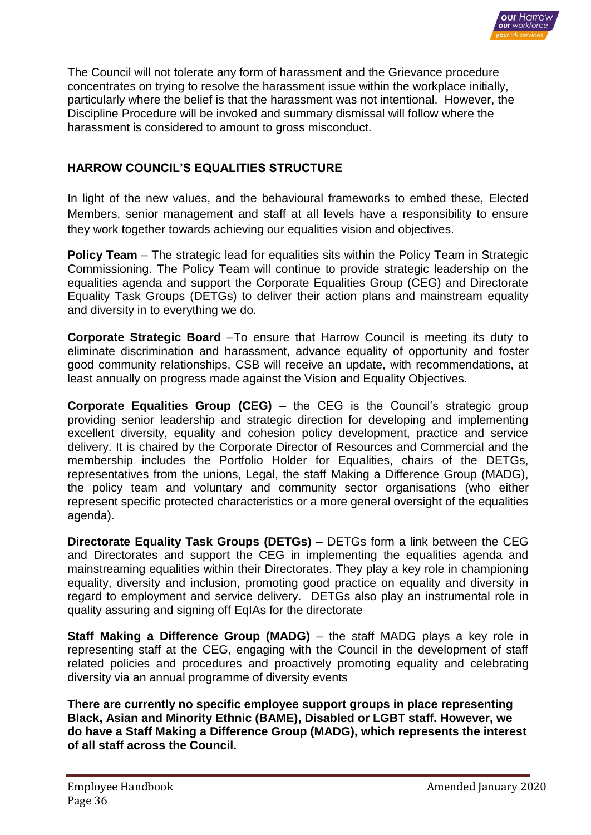

The Council will not tolerate any form of harassment and the Grievance procedure concentrates on trying to resolve the harassment issue within the workplace initially, particularly where the belief is that the harassment was not intentional. However, the Discipline Procedure will be invoked and summary dismissal will follow where the harassment is considered to amount to gross misconduct.

# **HARROW COUNCIL'S EQUALITIES STRUCTURE**

In light of the new values, and the behavioural frameworks to embed these, Elected Members, senior management and staff at all levels have a responsibility to ensure they work together towards achieving our equalities vision and objectives.

**Policy Team** – The strategic lead for equalities sits within the Policy Team in Strategic Commissioning. The Policy Team will continue to provide strategic leadership on the equalities agenda and support the Corporate Equalities Group (CEG) and Directorate Equality Task Groups (DETGs) to deliver their action plans and mainstream equality and diversity in to everything we do.

**Corporate Strategic Board** –To ensure that Harrow Council is meeting its duty to eliminate discrimination and harassment, advance equality of opportunity and foster good community relationships, CSB will receive an update, with recommendations, at least annually on progress made against the Vision and Equality Objectives.

**Corporate Equalities Group (CEG)** – the CEG is the Council's strategic group providing senior leadership and strategic direction for developing and implementing excellent diversity, equality and cohesion policy development, practice and service delivery. It is chaired by the Corporate Director of Resources and Commercial and the membership includes the Portfolio Holder for Equalities, chairs of the DETGs, representatives from the unions, Legal, the staff Making a Difference Group (MADG), the policy team and voluntary and community sector organisations (who either represent specific protected characteristics or a more general oversight of the equalities agenda).

**Directorate Equality Task Groups (DETGs)** – DETGs form a link between the CEG and Directorates and support the CEG in implementing the equalities agenda and mainstreaming equalities within their Directorates. They play a key role in championing equality, diversity and inclusion, promoting good practice on equality and diversity in regard to employment and service delivery. DETGs also play an instrumental role in quality assuring and signing off EqIAs for the directorate

**Staff Making a Difference Group (MADG)** – the staff MADG plays a key role in representing staff at the CEG, engaging with the Council in the development of staff related policies and procedures and proactively promoting equality and celebrating diversity via an annual programme of diversity events

**There are currently no specific employee support groups in place representing Black, Asian and Minority Ethnic (BAME), Disabled or LGBT staff. However, we do have a Staff Making a Difference Group (MADG), which represents the interest of all staff across the Council.**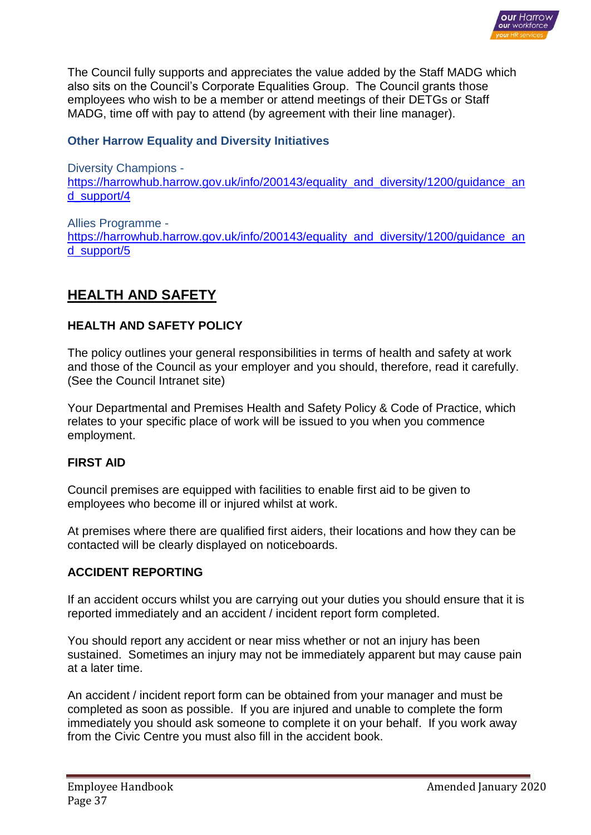

The Council fully supports and appreciates the value added by the Staff MADG which also sits on the Council's Corporate Equalities Group. The Council grants those employees who wish to be a member or attend meetings of their DETGs or Staff MADG, time off with pay to attend (by agreement with their line manager).

### **Other Harrow Equality and Diversity Initiatives**

Diversity Champions https://harrowhub.harrow.gov.uk/info/200143/equality\_and\_diversity/1200/quidance\_an [d\\_support/4](https://harrowhub.harrow.gov.uk/info/200143/equality_and_diversity/1200/guidance_and_support/4)

Allies Programme [https://harrowhub.harrow.gov.uk/info/200143/equality\\_and\\_diversity/1200/guidance\\_an](https://harrowhub.harrow.gov.uk/info/200143/equality_and_diversity/1200/guidance_and_support/5) [d\\_support/5](https://harrowhub.harrow.gov.uk/info/200143/equality_and_diversity/1200/guidance_and_support/5)

# **HEALTH AND SAFETY**

# **HEALTH AND SAFETY POLICY**

The policy outlines your general responsibilities in terms of health and safety at work and those of the Council as your employer and you should, therefore, read it carefully. (See the Council Intranet site)

Your Departmental and Premises Health and Safety Policy & Code of Practice, which relates to your specific place of work will be issued to you when you commence employment.

### **FIRST AID**

Council premises are equipped with facilities to enable first aid to be given to employees who become ill or injured whilst at work.

At premises where there are qualified first aiders, their locations and how they can be contacted will be clearly displayed on noticeboards.

### **ACCIDENT REPORTING**

If an accident occurs whilst you are carrying out your duties you should ensure that it is reported immediately and an accident / incident report form completed.

You should report any accident or near miss whether or not an injury has been sustained. Sometimes an injury may not be immediately apparent but may cause pain at a later time.

An accident / incident report form can be obtained from your manager and must be completed as soon as possible. If you are injured and unable to complete the form immediately you should ask someone to complete it on your behalf. If you work away from the Civic Centre you must also fill in the accident book.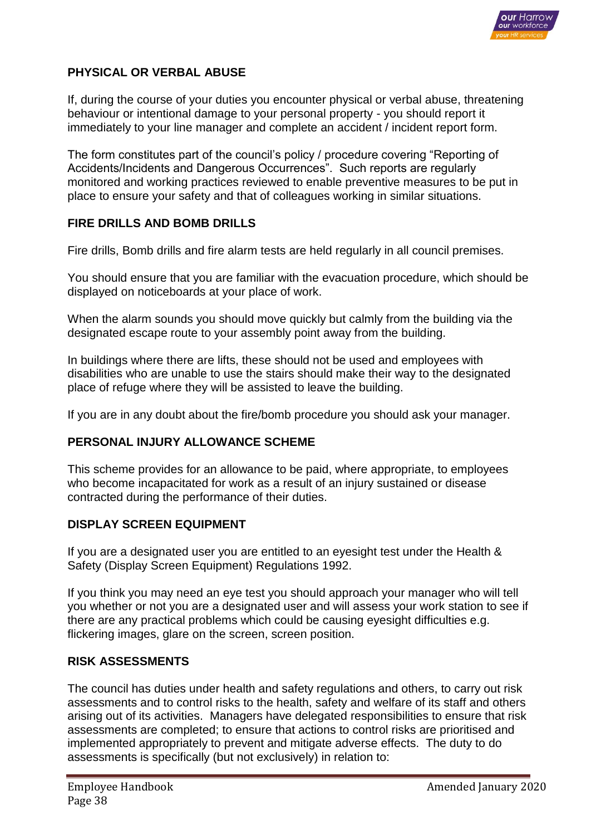

# **PHYSICAL OR VERBAL ABUSE**

If, during the course of your duties you encounter physical or verbal abuse, threatening behaviour or intentional damage to your personal property - you should report it immediately to your line manager and complete an accident / incident report form.

The form constitutes part of the council's policy / procedure covering "Reporting of Accidents/Incidents and Dangerous Occurrences". Such reports are regularly monitored and working practices reviewed to enable preventive measures to be put in place to ensure your safety and that of colleagues working in similar situations.

# **FIRE DRILLS AND BOMB DRILLS**

Fire drills, Bomb drills and fire alarm tests are held regularly in all council premises.

You should ensure that you are familiar with the evacuation procedure, which should be displayed on noticeboards at your place of work.

When the alarm sounds you should move quickly but calmly from the building via the designated escape route to your assembly point away from the building.

In buildings where there are lifts, these should not be used and employees with disabilities who are unable to use the stairs should make their way to the designated place of refuge where they will be assisted to leave the building.

If you are in any doubt about the fire/bomb procedure you should ask your manager.

# **PERSONAL INJURY ALLOWANCE SCHEME**

This scheme provides for an allowance to be paid, where appropriate, to employees who become incapacitated for work as a result of an injury sustained or disease contracted during the performance of their duties.

### **DISPLAY SCREEN EQUIPMENT**

If you are a designated user you are entitled to an eyesight test under the Health & Safety (Display Screen Equipment) Regulations 1992.

If you think you may need an eye test you should approach your manager who will tell you whether or not you are a designated user and will assess your work station to see if there are any practical problems which could be causing eyesight difficulties e.g. flickering images, glare on the screen, screen position.

### **RISK ASSESSMENTS**

The council has duties under health and safety regulations and others, to carry out risk assessments and to control risks to the health, safety and welfare of its staff and others arising out of its activities. Managers have delegated responsibilities to ensure that risk assessments are completed; to ensure that actions to control risks are prioritised and implemented appropriately to prevent and mitigate adverse effects. The duty to do assessments is specifically (but not exclusively) in relation to: